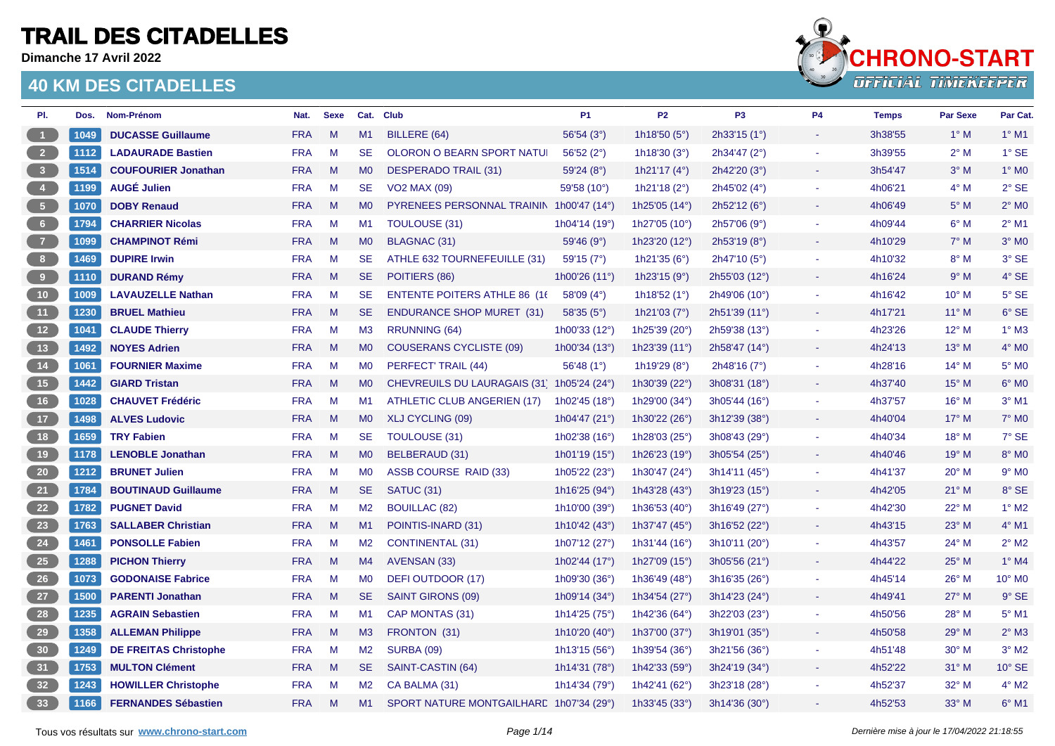**Dimanche 17 Avril 2022**



| PI.                                                   | Dos. | Nom-Prénom                   | Nat.       | <b>Sexe</b>  | Cat.           | <b>Club</b>                              | <b>P1</b>                | <b>P2</b>                | P <sub>3</sub> | <b>P4</b>                | <b>Temps</b> | <b>Par Sexe</b> | Par Cat.                 |
|-------------------------------------------------------|------|------------------------------|------------|--------------|----------------|------------------------------------------|--------------------------|--------------------------|----------------|--------------------------|--------------|-----------------|--------------------------|
| $-1$                                                  | 1049 | <b>DUCASSE Guillaume</b>     | <b>FRA</b> | M            | M1             | BILLERE (64)                             | 56'54 (3°)               | 1h18'50 $(5^{\circ})$    | 2h33'15(1°)    | $\sim$                   | 3h38'55      | $1^\circ$ M     | $1^\circ$ M1             |
| $\overline{\phantom{0}}$ 2                            | 1112 | <b>LADAURADE Bastien</b>     | <b>FRA</b> | M            | <b>SE</b>      | OLORON O BEARN SPORT NATUI               | 56'52 $(2^{\circ})$      | 1h18'30 $(3°)$           | 2h34'47 (2°)   |                          | 3h39'55      | $2^{\circ}$ M   | $1^\circ$ SE             |
| $\begin{array}{ c c } \hline \end{array}$             | 1514 | <b>COUFOURIER Jonathan</b>   | <b>FRA</b> | M            | M <sub>0</sub> | <b>DESPERADO TRAIL (31)</b>              | 59'24(8°)                | 1h21'17 $(4^{\circ})$    | 2h42'20(3°)    |                          | 3h54'47      | $3^\circ$ M     | $1^\circ$ MO             |
| $\begin{array}{ c c } \hline 4 \\ \hline \end{array}$ | 1199 | <b>AUGÉ Julien</b>           | <b>FRA</b> | M            | <b>SE</b>      | <b>VO2 MAX (09)</b>                      | 59'58 (10°)              | 1h21'18 $(2°)$           | 2h45'02 (4°)   | $\sim$                   | 4h06'21      | $4^\circ$ M     | $2°$ SE                  |
| $\begin{bmatrix} 5 \end{bmatrix}$                     | 1070 | <b>DOBY Renaud</b>           | <b>FRA</b> | $\mathsf{M}$ | <b>MO</b>      | PYRENEES PERSONNAL TRAININ 1h00'47 (14°) |                          | 1h25'05 (14°)            | 2h52'12(6°)    |                          | 4h06'49      | $5^\circ$ M     | $2^\circ$ M <sub>0</sub> |
| 6 <sub>6</sub>                                        | 1794 | <b>CHARRIER Nicolas</b>      | <b>FRA</b> | M            | M1             | TOULOUSE (31)                            | 1h04'14 (19 $^{\circ}$ ) | 1h27'05 $(10^{\circ})$   | 2h57'06(9°)    |                          | 4h09'44      | $6^\circ$ M     | $2^{\circ}$ M1           |
| $\begin{array}{c} 7 \end{array}$                      | 1099 | <b>CHAMPINOT Rémi</b>        | <b>FRA</b> | M            | M <sub>0</sub> | <b>BLAGNAC (31)</b>                      | 59'46 (9°)               | 1h23'20 (12°)            | 2h53'19 (8°)   | $\sim$                   | 4h10'29      | $7^\circ$ M     | $3°$ MO                  |
| $\begin{array}{c} \bullet \\ \bullet \end{array}$     | 1469 | <b>DUPIRE Irwin</b>          | <b>FRA</b> | M            | <b>SE</b>      | ATHLE 632 TOURNEFEUILLE (31)             | 59'15(7°)                | 1h21'35 $(6^{\circ})$    | 2h47'10 (5°)   | $\overline{\phantom{a}}$ | 4h10'32      | $8^\circ$ M     | 3° SE                    |
| $\begin{array}{c} \bullet \\ \bullet \end{array}$     | 1110 | <b>DURAND Rémy</b>           | <b>FRA</b> | M            | <b>SE</b>      | POITIERS (86)                            | 1h00'26 $(11^{\circ})$   | 1h23'15 $(9°)$           | 2h55'03(12°)   |                          | 4h16'24      | $9^\circ$ M     | 4° SE                    |
| $\overline{10}$                                       | 1009 | <b>LAVAUZELLE Nathan</b>     | <b>FRA</b> | M            | <b>SE</b>      | <b>ENTENTE POITERS ATHLE 86 (16)</b>     | 58'09 $(4^{\circ})$      | 1h18'52 $(1°)$           | 2h49'06 (10°)  | $\sim$                   | 4h16'42      | $10^{\circ}$ M  | $5^\circ$ SE             |
| (11)                                                  | 1230 | <b>BRUEL Mathieu</b>         | <b>FRA</b> | M            | SE.            | <b>ENDURANCE SHOP MURET (31)</b>         | 58'35(5°)                | 1h21'03 $(7°)$           | 2h51'39(11°)   | $\sim$                   | 4h17'21      | $11^{\circ}$ M  | 6° SE                    |
| 12                                                    | 1041 | <b>CLAUDE Thierry</b>        | <b>FRA</b> | M            | M <sub>3</sub> | <b>RRUNNING (64)</b>                     | 1h00'33 (12°)            | 1h25'39 (20°)            | 2h59'38 (13°)  | $\overline{\phantom{a}}$ | 4h23'26      | $12^{\circ}$ M  | $1^\circ$ M3             |
| (13)                                                  | 1492 | <b>NOYES Adrien</b>          | <b>FRA</b> | M            | MO             | <b>COUSERANS CYCLISTE (09)</b>           | 1h00'34 (13°)            | 1h23'39 $(11°)$          | 2h58'47 (14°)  |                          | 4h24'13      | $13^\circ$ M    | $4^\circ$ MO             |
| 14                                                    | 1061 | <b>FOURNIER Maxime</b>       | <b>FRA</b> | M            | M <sub>0</sub> | PERFECT' TRAIL (44)                      | 56'48 $(1^{\circ})$      | 1h19'29 $(8^{\circ})$    | 2h48'16(7°)    | $\overline{\phantom{a}}$ | 4h28'16      | $14^{\circ}$ M  | $5^\circ$ MO             |
| 15                                                    | 1442 | <b>GIARD Tristan</b>         | <b>FRA</b> | M            | <b>MO</b>      | <b>CHEVREUILS DU LAURAGAIS (31)</b>      | 1h05'24 (24°)            | 1h30'39 $(22^{\circ})$   | 3h08'31 (18°)  |                          | 4h37'40      | $15^{\circ}$ M  | $6^{\circ}$ MO           |
| (16)                                                  | 1028 | <b>CHAUVET Frédéric</b>      | <b>FRA</b> | M            | M1             | ATHLETIC CLUB ANGERIEN (17)              | 1h02'45 (18°)            | 1h29'00 (34°)            | 3h05'44(16°)   | $\sim$                   | 4h37'57      | $16^{\circ}$ M  | $3°$ M1                  |
| $\begin{bmatrix} 17 \end{bmatrix}$                    | 1498 | <b>ALVES Ludovic</b>         | <b>FRA</b> | M            | M <sub>0</sub> | XLJ CYCLING (09)                         | 1h04'47 (21°)            | 1h30'22 (26°)            | 3h12'39 (38°)  |                          | 4h40'04      | $17^\circ$ M    | $7^\circ$ M <sub>0</sub> |
| 18                                                    | 1659 | <b>TRY Fabien</b>            | <b>FRA</b> | M            | <b>SE</b>      | TOULOUSE (31)                            | 1h02'38 (16°)            | 1h28'03 (25°)            | 3h08'43(29°)   |                          | 4h40'34      | $18^{\circ}$ M  | 7° SE                    |
| 19                                                    | 1178 | <b>LENOBLE Jonathan</b>      | <b>FRA</b> | M            | <b>MO</b>      | BELBERAUD (31)                           | 1h01'19 (15°)            | 1h26'23 (19°)            | 3h05'54 (25°)  |                          | 4h40'46      | $19^{\circ}$ M  | 8° M <sub>0</sub>        |
| 20                                                    | 1212 | <b>BRUNET Julien</b>         | <b>FRA</b> | M            | M <sub>0</sub> | ASSB COURSE RAID (33)                    | 1h05'22 (23°)            | 1h30'47 (24°)            | 3h14'11 (45°)  | $\sim$                   | 4h41'37      | $20^\circ$ M    | $9°$ M <sub>0</sub>      |
| 21                                                    | 1784 | <b>BOUTINAUD Guillaume</b>   | <b>FRA</b> | M            | <b>SE</b>      | SATUC (31)                               | 1h16'25 (94°)            | 1h43'28 (43°)            | 3h19'23(15°)   | $\sim$                   | 4h42'05      | $21^{\circ}$ M  | 8° SE                    |
| 22                                                    | 1782 | <b>PUGNET David</b>          | <b>FRA</b> | M            | M <sub>2</sub> | <b>BOUILLAC (82)</b>                     | 1h10'00 (39°)            | 1h36'53 $(40^{\circ})$   | 3h16'49 (27°)  |                          | 4h42'30      | $22^{\circ}$ M  | $1^\circ$ M <sub>2</sub> |
| 23                                                    | 1763 | <b>SALLABER Christian</b>    | <b>FRA</b> | M            | M1             | POINTIS-INARD (31)                       | 1h10'42 $(43°)$          | 1h37'47 (45°)            | 3h16'52 (22°)  |                          | 4h43'15      | $23^\circ$ M    | $4^\circ$ M1             |
| 24                                                    | 1461 | <b>PONSOLLE Fabien</b>       | <b>FRA</b> | M            | M2             | <b>CONTINENTAL (31)</b>                  | 1h07'12 (27°)            | 1h31'44 (16 $^{\circ}$ ) | 3h10'11 (20°)  | $\overline{\phantom{a}}$ | 4h43'57      | $24^{\circ}$ M  | $2^{\circ}$ M2           |
| 25                                                    | 1288 | <b>PICHON Thierry</b>        | <b>FRA</b> | M            | M4             | AVENSAN (33)                             | 1h02'44 (17°)            | 1h27'09 (15°)            | 3h05'56 (21°)  |                          | 4h44'22      | $25^{\circ}$ M  | $1^\circ$ M4             |
| 26                                                    | 1073 | <b>GODONAISE Fabrice</b>     | <b>FRA</b> | M            | M <sub>0</sub> | DEFI OUTDOOR (17)                        | 1h09'30 (36°)            | 1h36'49 (48°)            | 3h16'35(26°)   | $\sim$                   | 4h45'14      | $26^{\circ}$ M  | 10° MO                   |
| 27                                                    | 1500 | <b>PARENTI Jonathan</b>      | <b>FRA</b> | M            | <b>SE</b>      | <b>SAINT GIRONS (09)</b>                 | 1h09'14 (34°)            | 1h34'54 (27 $^{\circ}$ ) | 3h14'23 (24°)  | $\sim$                   | 4h49'41      | $27^\circ$ M    | 9° SE                    |
| 28                                                    | 1235 | <b>AGRAIN Sebastien</b>      | <b>FRA</b> | M            | M1             | CAP MONTAS (31)                          | 1h14'25 (75°)            | 1h42'36 (64°)            | 3h22'03 (23°)  | $\sim$                   | 4h50'56      | $28^\circ$ M    | $5^{\circ}$ M1           |
| 29                                                    | 1358 | <b>ALLEMAN Philippe</b>      | <b>FRA</b> | M            | M3             | FRONTON (31)                             | 1h10'20 $(40^{\circ})$   | 1h37'00 (37°)            | 3h19'01 (35°)  |                          | 4h50'58      | $29^\circ$ M    | $2^{\circ}$ M3           |
| 30 <sup>°</sup>                                       | 1249 | <b>DE FREITAS Christophe</b> | <b>FRA</b> | M            | M <sub>2</sub> | <b>SURBA (09)</b>                        | 1h13'15 (56°)            | 1h39'54 (36°)            | 3h21'56(36°)   | $\sim$                   | 4h51'48      | $30^\circ$ M    | $3°$ M <sub>2</sub>      |
| 31                                                    | 1753 | <b>MULTON Clément</b>        | <b>FRA</b> | M            | <b>SE</b>      | SAINT-CASTIN (64)                        | 1h14'31 (78°)            | 1h42'33 (59°)            | 3h24'19 (34°)  | $\sim$                   | 4h52'22      | $31^\circ$ M    | $10^{\circ}$ SE          |
| 32                                                    | 1243 | <b>HOWILLER Christophe</b>   | <b>FRA</b> | M            | M <sub>2</sub> | CA BALMA (31)                            | 1h14'34 (79°)            | 1h42'41 (62°)            | 3h23'18 (28°)  |                          | 4h52'37      | $32^{\circ}$ M  | $4^\circ$ M2             |
| 33                                                    | 1166 | <b>FERNANDES Sébastien</b>   | <b>FRA</b> | M            | M1             | SPORT NATURE MONTGAILHARE 1h07'34 (29°)  |                          | 1h33'45 $(33°)$          | 3h14'36(30°)   |                          | 4h52'53      | $33^\circ$ M    | $6^\circ$ M1             |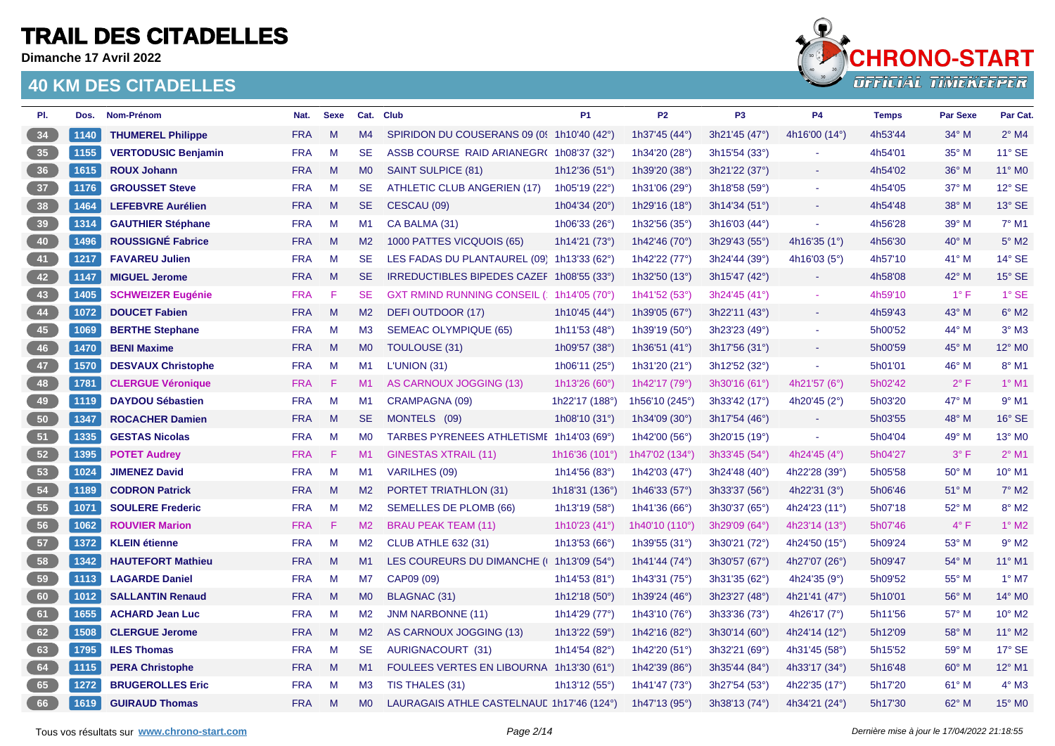**Dimanche 17 Avril 2022**



| PI.            | Dos. | Nom-Prénom                 | Nat.       | <b>Sexe</b> |                | Cat. Club                                  | <b>P1</b>                | P <sub>2</sub>           | P <sub>3</sub> | <b>P4</b>             | <b>Temps</b> | <b>Par Sexe</b> | Par Cat.            |
|----------------|------|----------------------------|------------|-------------|----------------|--------------------------------------------|--------------------------|--------------------------|----------------|-----------------------|--------------|-----------------|---------------------|
| 34             | 1140 | <b>THUMEREL Philippe</b>   | <b>FRA</b> | M           | M4             | SPIRIDON DU COUSERANS 09 (09 1h10'40 (42°) |                          | 1h37'45 (44°)            | 3h21'45 (47°)  | 4h16'00 (14°)         | 4h53'44      | $34^\circ$ M    | $2^{\circ}$ M4      |
| 35             | 1155 | <b>VERTODUSIC Benjamin</b> | <b>FRA</b> | M           | <b>SE</b>      | ASSB COURSE RAID ARIANEGR(1h08'37 (32°)    |                          | 1h34'20 (28°)            | 3h15'54 (33°)  |                       | 4h54'01      | $35^\circ$ M    | 11° SE              |
| 36             | 1615 | <b>ROUX Johann</b>         | <b>FRA</b> | M           | M <sub>0</sub> | SAINT SULPICE (81)                         | 1h12'36 $(51°)$          | 1h39'20 (38°)            | 3h21'22 (37°)  |                       | 4h54'02      | $36^\circ$ M    | 11° MO              |
| 37             | 1176 | <b>GROUSSET Steve</b>      | <b>FRA</b> | M           | <b>SE</b>      | ATHLETIC CLUB ANGERIEN (17)                | 1h05'19 (22°)            | 1h31'06 (29°)            | 3h18'58 (59°)  | $\blacksquare$        | 4h54'05      | 37° M           | 12° SE              |
| 38             | 1464 | <b>LEFEBVRE Aurélien</b>   | <b>FRA</b> | M           | SE.            | CESCAU (09)                                | 1h04'34 (20°)            | 1h29'16 (18°)            | 3h14'34(51°)   | ÷                     | 4h54'48      | $38^\circ$ M    | 13° SE              |
| 39             | 1314 | <b>GAUTHIER Stéphane</b>   | <b>FRA</b> | M           | M1             | CA BALMA (31)                              | 1h06'33 (26°)            | 1h32'56 $(35°)$          | 3h16'03(44°)   |                       | 4h56'28      | $39^\circ$ M    | $7^\circ$ M1        |
| 40             | 1496 | <b>ROUSSIGNÉ Fabrice</b>   | <b>FRA</b> | M           | M2             | 1000 PATTES VICQUOIS (65)                  | 1h14'21 (73 $^{\circ}$ ) | 1h42'46 (70 $^{\circ}$ ) | 3h29'43(55°)   | 4h16'35 $(1^{\circ})$ | 4h56'30      | $40^{\circ}$ M  | $5^\circ$ M2        |
| 41             | 1217 | <b>FAVAREU Julien</b>      | <b>FRA</b> | M           | <b>SE</b>      | LES FADAS DU PLANTAUREL (09) 1h13'33 (62°) |                          | 1h42'22 (77°)            | 3h24'44 (39°)  | 4h16'03 $(5^{\circ})$ | 4h57'10      | $41^\circ$ M    | 14° SE              |
| 42             | 1147 | <b>MIGUEL Jerome</b>       | <b>FRA</b> | M           | SE.            | IRREDUCTIBLES BIPEDES CAZEF 1h08'55 (33°)  |                          | 1h32'50 (13°)            | 3h15'47 (42°)  | $\sim$                | 4h58'08      | 42° M           | 15° SE              |
| 43             | 1405 | <b>SCHWEIZER Eugénie</b>   | <b>FRA</b> | F           | <b>SE</b>      | GXT RMIND RUNNING CONSEIL (1h14'05 (70°)   |                          | 1h41'52 (53°)            | 3h24'45(41°)   |                       | 4h59'10      | $1^{\circ}$ F   | $1°$ SE             |
| 44             | 1072 | <b>DOUCET Fabien</b>       | <b>FRA</b> | M           | M <sub>2</sub> | DEFI OUTDOOR (17)                          | 1h10'45 (44°)            | 1h39'05 (67°)            | 3h22'11 (43°)  |                       | 4h59'43      | 43° M           | $6^\circ$ M2        |
| 45             | 1069 | <b>BERTHE Stephane</b>     | <b>FRA</b> | M           | M3             | <b>SEMEAC OLYMPIQUE (65)</b>               | 1h11'53 (48°)            | 1h39'19 (50°)            | 3h23'23(49°)   | $\sim$                | 5h00'52      | 44° M           | $3°$ M <sub>3</sub> |
| 46             | 1470 | <b>BENI Maxime</b>         | <b>FRA</b> | M           | M <sub>0</sub> | TOULOUSE (31)                              | 1h09'57 (38°)            | 1h36'51 (41°)            | 3h17'56 (31°)  |                       | 5h00'59      | $45^{\circ}$ M  | 12° MO              |
| 47             | 1570 | <b>DESVAUX Christophe</b>  | <b>FRA</b> | M           | M1             | L'UNION (31)                               | 1h06'11 (25°)            | 1h31'20 (21°)            | 3h12'52 (32°)  | $\blacksquare$        | 5h01'01      | 46° M           | $8^\circ$ M1        |
| 48             | 1781 | <b>CLERGUE Véronique</b>   | <b>FRA</b> | F           | M1             | AS CARNOUX JOGGING (13)                    | 1h13'26 (60°)            | 1h42'17 (79°)            | 3h30'16(61°)   | 4h21'57 $(6^{\circ})$ | 5h02'42      | $2^{\circ}$ F   | $1^{\circ}$ M1      |
| $\frac{49}{ }$ | 1119 | <b>DAYDOU Sébastien</b>    | <b>FRA</b> | M           | M1             | CRAMPAGNA (09)                             | 1h22'17 (188°)           | 1h56'10 (245°)           | 3h33'42(17°)   | 4h20'45 $(2^{\circ})$ | 5h03'20      | 47° M           | $9°$ M1             |
| 50             | 1347 | <b>ROCACHER Damien</b>     | <b>FRA</b> | M           | <b>SE</b>      | MONTELS (09)                               | 1h08'10 (31°)            | 1h34'09 (30°)            | 3h17'54 (46°)  | $\sim$                | 5h03'55      | 48° M           | 16° SE              |
| 51             | 1335 | <b>GESTAS Nicolas</b>      | <b>FRA</b> | M           | <b>MO</b>      | TARBES PYRENEES ATHLETISME 1h14'03 (69°)   |                          | 1h42'00 (56°)            | 3h20'15 (19°)  | $\omega$              | 5h04'04      | 49° M           | 13° MO              |
| 52             | 1395 | <b>POTET Audrey</b>        | <b>FRA</b> | - F         | M1             | <b>GINESTAS XTRAIL (11)</b>                | 1h16'36 $(101°)$         | 1h47'02 (134°)           | 3h33'45(54°)   | 4h24'45 $(4^{\circ})$ | 5h04'27      | $3^{\circ}$ F   | $2^{\circ}$ M1      |
| 53             | 1024 | <b>JIMENEZ David</b>       | <b>FRA</b> | M           | M1             | VARILHES (09)                              | 1h14'56 (83°)            | 1h42'03 (47°)            | 3h24'48 (40°)  | 4h22'28 (39°)         | 5h05'58      | 50° M           | 10° M1              |
| 54             | 1189 | <b>CODRON Patrick</b>      | <b>FRA</b> | M           | M <sub>2</sub> | <b>PORTET TRIATHLON (31)</b>               | 1h18'31 (136°)           | 1h46'33 (57°)            | 3h33'37 (56°)  | 4h22'31 $(3°)$        | 5h06'46      | $51^\circ$ M    | $7°$ M2             |
| 55             | 1071 | <b>SOULERE Frederic</b>    | <b>FRA</b> | M           | M <sub>2</sub> | SEMELLES DE PLOMB (66)                     | 1h13'19 (58°)            | 1h41'36 (66 $^{\circ}$ ) | 3h30'37 (65°)  | 4h24'23 (11°)         | 5h07'18      | $52^{\circ}$ M  | 8° M2               |
| 56             | 1062 | <b>ROUVIER Marion</b>      | <b>FRA</b> | F           | M <sub>2</sub> | <b>BRAU PEAK TEAM (11)</b>                 | 1h10'23 (41°)            | 1h40'10 (110°)           | 3h29'09 (64°)  | 4h23'14 (13°)         | 5h07'46      | $4^{\circ}$ F   | $1^\circ$ M2        |
| 57             | 1372 | <b>KLEIN</b> étienne       | <b>FRA</b> | M           | M2             | <b>CLUB ATHLE 632 (31)</b>                 | 1h13'53 (66°)            | 1h39'55 (31°)            | 3h30'21 (72°)  | 4h24'50 (15°)         | 5h09'24      | 53° M           | $9°$ M <sub>2</sub> |
| 58             | 1342 | <b>HAUTEFORT Mathieu</b>   | <b>FRA</b> | M           | M1             | LES COUREURS DU DIMANCHE (11h13'09 (54°)   |                          | 1h41'44 (74 $^{\circ}$ ) | 3h30'57 (67°)  | 4h27'07 (26°)         | 5h09'47      | $54^{\circ}$ M  | 11° M1              |
| 59             | 1113 | <b>LAGARDE Daniel</b>      | <b>FRA</b> | M           | M <sub>7</sub> | CAP09 (09)                                 | 1h14'53 (81°)            | 1h43'31 (75°)            | 3h31'35 (62°)  | 4h24'35 (9°)          | 5h09'52      | 55° M           | $1^\circ$ M7        |
| 60             | 1012 | <b>SALLANTIN Renaud</b>    | <b>FRA</b> | M           | MO             | BLAGNAC (31)                               | 1h12'18 (50°)            | 1h39'24 (46°)            | 3h23'27 (48°)  | 4h21'41 (47°)         | 5h10'01      | 56° M           | 14° M0              |
| 61             | 1655 | <b>ACHARD Jean Luc</b>     | <b>FRA</b> | M           | M <sub>2</sub> | <b>JNM NARBONNE (11)</b>                   | 1h14'29 (77°)            | 1h43'10 $(76°)$          | 3h33'36 (73°)  | 4h26'17 $(7°)$        | 5h11'56      | $57^\circ$ M    | 10° M2              |
| 62             | 1508 | <b>CLERGUE Jerome</b>      | <b>FRA</b> | M           | M2             | AS CARNOUX JOGGING (13)                    | 1h13'22 (59°)            | 1h42'16 (82°)            | 3h30'14 (60°)  | 4h24'14 (12°)         | 5h12'09      | 58° M           | 11° M2              |
| 63             | 1795 | <b>ILES Thomas</b>         | <b>FRA</b> | M           | <b>SE</b>      | AURIGNACOURT (31)                          | 1h14'54 (82°)            | 1h42'20 (51°)            | 3h32'21 (69°)  | 4h31'45 (58°)         | 5h15'52      | 59° M           | 17° SE              |
| 64             | 1115 | <b>PERA Christophe</b>     | <b>FRA</b> | M           | M1             | FOULEES VERTES EN LIBOURNA 1h13'30 (61°)   |                          | 1h42'39 (86°)            | 3h35'44 (84°)  | 4h33'17 (34°)         | 5h16'48      | 60° M           | 12° M1              |
| 65             | 1272 | <b>BRUGEROLLES Eric</b>    | <b>FRA</b> | M           | M3             | TIS THALES (31)                            | 1h13'12 $(55°)$          | 1h41'47 (73°)            | 3h27'54 (53°)  | 4h22'35 (17°)         | 5h17'20      | $61^\circ$ M    | $4^\circ$ M3        |
| 66             | 1619 | <b>GUIRAUD Thomas</b>      | <b>FRA</b> | M           | MO             | LAURAGAIS ATHLE CASTELNAUL 1h17'46 (124°)  |                          | 1h47'13 (95°)            | 3h38'13 (74°)  | 4h34'21 (24°)         | 5h17'30      | $62^\circ$ M    | 15° MO              |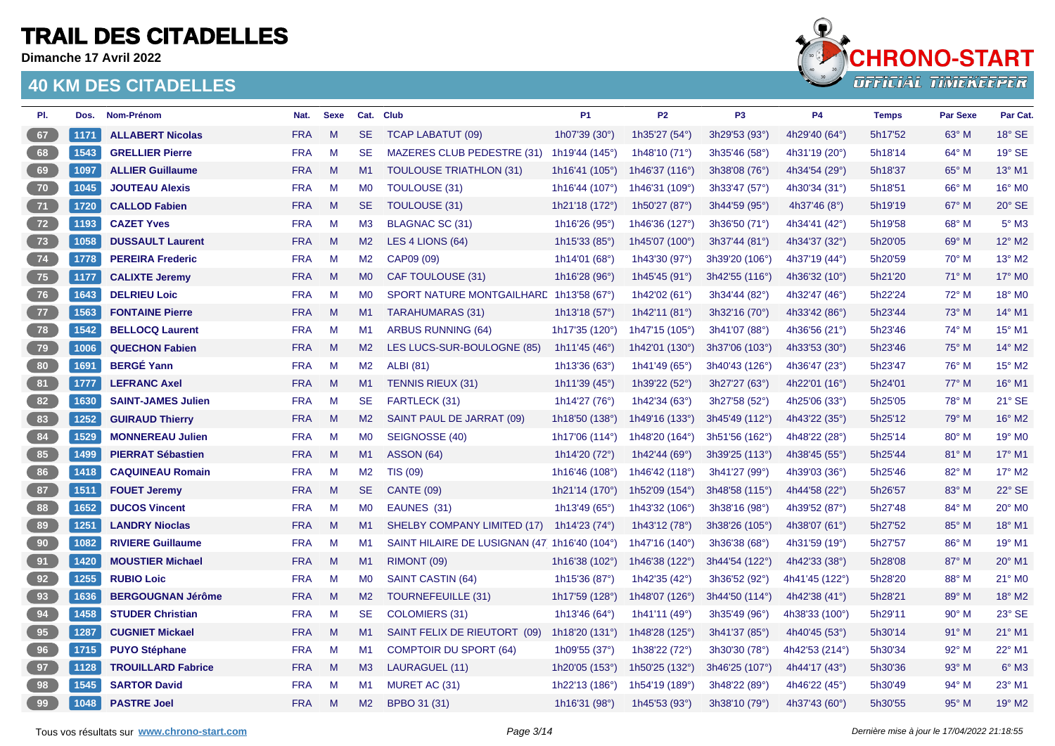**Dimanche 17 Avril 2022**



| PI.             | Dos. | Nom-Prénom                | Nat.       | <b>Sexe</b> | Cat.           | <b>Club</b>                                  | P <sub>1</sub>           | P <sub>2</sub>            | P <sub>3</sub> | <b>P4</b>                | <b>Temps</b> | <b>Par Sexe</b> | Par Cat.                  |
|-----------------|------|---------------------------|------------|-------------|----------------|----------------------------------------------|--------------------------|---------------------------|----------------|--------------------------|--------------|-----------------|---------------------------|
| 67              | 1171 | <b>ALLABERT Nicolas</b>   | <b>FRA</b> | M           | <b>SE</b>      | <b>TCAP LABATUT (09)</b>                     | 1h07'39 (30°)            | 1h35'27 (54°)             | 3h29'53 (93°)  | 4h29'40 (64°)            | 5h17'52      | $63^\circ$ M    | 18° SE                    |
| 68              | 1543 | <b>GRELLIER Pierre</b>    | <b>FRA</b> | M           | <b>SE</b>      | MAZERES CLUB PEDESTRE (31)                   | 1h19'44 (145°)           | 1h48'10 (71°)             | 3h35'46 (58°)  | 4h31'19 (20°)            | 5h18'14      | $64^{\circ}$ M  | 19° SE                    |
| 69              | 1097 | <b>ALLIER Guillaume</b>   | <b>FRA</b> | M           | M1             | <b>TOULOUSE TRIATHLON (31)</b>               | 1h16'41 (105°)           | 1h46'37 (116°)            | 3h38'08 (76°)  | 4h34'54 (29°)            | 5h18'37      | 65° M           | 13° M1                    |
| $70^{\circ}$    | 1045 | <b>JOUTEAU Alexis</b>     | <b>FRA</b> | M           | M <sub>0</sub> | TOULOUSE (31)                                | 1h16'44 (107°)           | 1h46'31 (109°)            | 3h33'47 (57°)  | 4h30'34 (31°)            | 5h18'51      | 66° M           | 16° M0                    |
| 71              | 1720 | <b>CALLOD Fabien</b>      | <b>FRA</b> | M           | <b>SE</b>      | <b>TOULOUSE (31)</b>                         | 1h21'18 (172°)           | 1h50'27 (87°)             | 3h44'59 (95°)  | 4h37'46 $(8^{\circ})$    | 5h19'19      | 67° M           | $20^\circ$ SE             |
| 72              | 1193 | <b>CAZET Yves</b>         | <b>FRA</b> | M           | M3             | <b>BLAGNAC SC (31)</b>                       | 1h16'26 (95°)            | 1h46'36 (127°)            | 3h36'50 (71°)  | 4h34'41 (42°)            | 5h19'58      | 68° M           | $5^\circ$ M3              |
| 73              | 1058 | <b>DUSSAULT Laurent</b>   | <b>FRA</b> | M           | M2             | LES 4 LIONS (64)                             | 1h15'33 (85°)            | 1h45'07 (100°)            | 3h37'44 (81°)  | 4h34'37 (32°)            | 5h20'05      | 69° M           | 12° M2                    |
| 74              | 1778 | <b>PEREIRA Frederic</b>   | <b>FRA</b> | M           | M <sub>2</sub> | CAP09 (09)                                   | 1h14'01 (68°)            | 1h43'30 (97°)             | 3h39'20 (106°) | 4h37'19 (44°)            | 5h20'59      | $70^\circ$ M    | 13° M2                    |
| 75              | 1177 | <b>CALIXTE Jeremy</b>     | <b>FRA</b> | M           | M <sub>0</sub> | CAF TOULOUSE (31)                            | 1h16'28 $(96°)$          | 1h45'45 (91°)             | 3h42'55 (116°) | 4h36'32 $(10^{\circ})$   | 5h21'20      | $71^\circ$ M    | 17° M0                    |
| 76              | 1643 | <b>DELRIEU Loic</b>       | <b>FRA</b> | M           | <b>MO</b>      | SPORT NATURE MONTGAILHARE 1h13'58 (67°)      |                          | 1h42'02 (61°)             | 3h34'44 (82°)  | 4h32'47 (46°)            | 5h22'24      | 72° M           | 18° MO                    |
| 77              | 1563 | <b>FONTAINE Pierre</b>    | <b>FRA</b> | M           | M1             | <b>TARAHUMARAS (31)</b>                      | 1h13'18 (57 $^{\circ}$ ) | 1h42'11 (81°)             | 3h32'16 (70°)  | 4h33'42 (86°)            | 5h23'44      | $73^\circ$ M    | 14° M1                    |
| $78$            | 1542 | <b>BELLOCQ Laurent</b>    | <b>FRA</b> | M           | M1             | ARBUS RUNNING (64)                           | 1h17'35 (120°)           | 1h47'15 (105°)            | 3h41'07 (88°)  | 4h36'56 (21°)            | 5h23'46      | $74^\circ$ M    | 15° M1                    |
| 79              | 1006 | <b>QUECHON Fabien</b>     | <b>FRA</b> | M           | M2             | LES LUCS-SUR-BOULOGNE (85)                   | 1h11'45 (46 $^{\circ}$ ) | 1h42'01 (130°)            | 3h37'06 (103°) | 4h33'53 (30°)            | 5h23'46      | $75^\circ$ M    | 14° M2                    |
| 80 <sub>1</sub> | 1691 | <b>BERGÉ Yann</b>         | <b>FRA</b> | M           | M2             | <b>ALBI</b> (81)                             | 1h13'36 $(63°)$          | 1h41'49 (65°)             | 3h40'43 (126°) | 4h36'47 $(23°)$          | 5h23'47      | $76^{\circ}$ M  | 15° M2                    |
| 81              | 1777 | <b>LEFRANC Axel</b>       | <b>FRA</b> | M           | M1             | <b>TENNIS RIEUX (31)</b>                     | 1h11'39 $(45^{\circ})$   | 1h39'22 (52°)             | 3h27'27 (63°)  | 4h22'01 (16°)            | 5h24'01      | $77^\circ$ M    | 16° M1                    |
| 82              | 1630 | <b>SAINT-JAMES Julien</b> | <b>FRA</b> | M           | <b>SE</b>      | FARTLECK (31)                                | 1h14'27 (76°)            | 1h42'34 (63°)             | 3h27'58 (52°)  | 4h25'06 (33°)            | 5h25'05      | 78° M           | 21° SE                    |
| 83              | 1252 | <b>GUIRAUD Thierry</b>    | <b>FRA</b> | M           | M2             | SAINT PAUL DE JARRAT (09)                    | 1h18'50 (138°)           | 1h49'16 (133°)            | 3h45'49 (112°) | 4h43'22 (35°)            | 5h25'12      | 79° M           | 16° M2                    |
| 84              | 1529 | <b>MONNEREAU Julien</b>   | <b>FRA</b> | M           | <b>MO</b>      | SEIGNOSSE (40)                               | 1h17'06 (114°)           | 1h48'20 (164°)            | 3h51'56 (162°) | 4h48'22 (28°)            | 5h25'14      | 80° M           | 19° M0                    |
| 85              | 1499 | <b>PIERRAT Sébastien</b>  | <b>FRA</b> | M           | M1             | <b>ASSON (64)</b>                            | 1h14'20 (72°)            | 1h42'44 (69°)             | 3h39'25 (113°) | 4h38'45 (55 $^{\circ}$ ) | 5h25'44      | 81° M           | 17° M1                    |
| 86              | 1418 | <b>CAQUINEAU Romain</b>   | <b>FRA</b> | M           | M2             | <b>TIS (09)</b>                              | 1h16'46 (108°)           | 1h46'42 (118°)            | 3h41'27 (99°)  | 4h39'03 (36°)            | 5h25'46      | 82° M           | 17° M2                    |
| ${\bf 87}$      | 1511 | <b>FOUET Jeremy</b>       | <b>FRA</b> | M           | SE.            | <b>CANTE (09)</b>                            | 1h21'14 (170°)           | 1h52'09 (154°)            | 3h48'58 (115°) | 4h44'58 (22°)            | 5h26'57      | 83° M           | 22° SE                    |
| 88              | 1652 | <b>DUCOS Vincent</b>      | <b>FRA</b> | M           | M <sub>0</sub> | EAUNES (31)                                  | 1h13'49 (65 $^{\circ}$ ) | 1h43'32 (106°)            | 3h38'16 (98°)  | 4h39'52 (87°)            | 5h27'48      | 84° M           | 20° MO                    |
| 89              | 1251 | <b>LANDRY Nioclas</b>     | <b>FRA</b> | M           | M1             | SHELBY COMPANY LIMITED (17) 1h14'23 (74°)    |                          | 1h43'12 $(78°)$           | 3h38'26 (105°) | 4h38'07 (61°)            | 5h27'52      | 85° M           | 18° M1                    |
| 90              | 1082 | <b>RIVIERE Guillaume</b>  | <b>FRA</b> | M           | M1             | SAINT HILAIRE DE LUSIGNAN (47 1h16'40 (104°) |                          | 1h47'16 (140°)            | 3h36'38 (68°)  | 4h31'59 (19°)            | 5h27'57      | 86° M           | 19° M1                    |
| 91              | 1420 | <b>MOUSTIER Michael</b>   | <b>FRA</b> | M           | M1             | RIMONT (09)                                  | 1h16'38 $(102°)$         | 1h46'38 (122 $^{\circ}$ ) | 3h44'54 (122°) | 4h42'33 (38°)            | 5h28'08      | 87° M           | 20° M1                    |
| 92              | 1255 | <b>RUBIO Loic</b>         | <b>FRA</b> | M           | M <sub>0</sub> | SAINT CASTIN (64)                            | 1h15'36 (87°)            | 1h42'35 (42°)             | 3h36'52 (92°)  | 4h41'45 (122°)           | 5h28'20      | 88° M           | 21° MO                    |
| 93              | 1636 | <b>BERGOUGNAN Jérôme</b>  | <b>FRA</b> | M           | M2             | TOURNEFEUILLE (31)                           | 1h17'59 (128°)           | 1h48'07 (126°)            | 3h44'50 (114°) | 4h42'38 (41°)            | 5h28'21      | 89° M           | 18° M2                    |
| 94              | 1458 | <b>STUDER Christian</b>   | <b>FRA</b> | M           | <b>SE</b>      | COLOMIERS (31)                               | 1h13'46 (64°)            | 1h41'11 $(49°)$           | 3h35'49 (96°)  | 4h38'33 (100°)           | 5h29'11      | $90^\circ$ M    | 23° SE                    |
| 95              | 1287 | <b>CUGNIET Mickael</b>    | <b>FRA</b> | M           | M1             | SAINT FELIX DE RIEUTORT (09)                 | 1h18'20 (131°)           | 1h48'28 (125°)            | 3h41'37 (85°)  | 4h40'45 (53°)            | 5h30'14      | $91°$ M         | 21° M1                    |
| 96              | 1715 | <b>PUYO Stéphane</b>      | <b>FRA</b> | M           | M1             | <b>COMPTOIR DU SPORT (64)</b>                | 1h09'55 (37°)            | 1h38'22 (72°)             | 3h30'30 (78°)  | 4h42'53 (214°)           | 5h30'34      | 92° M           | 22° M1                    |
| 97              | 1128 | <b>TROUILLARD Fabrice</b> | <b>FRA</b> | M           | M3             | LAURAGUEL (11)                               | 1h20'05 (153°)           | 1h50'25 (132°)            | 3h46'25 (107°) | 4h44'17 (43°)            | 5h30'36      | $93^\circ$ M    | $6^\circ$ M3              |
| 98              | 1545 | <b>SARTOR David</b>       | <b>FRA</b> | M           | M1             | MURET AC (31)                                | 1h22'13 (186°)           | 1h54'19 (189°)            | 3h48'22 (89°)  | 4h46'22 $(45^{\circ})$   | 5h30'49      | $94^\circ$ M    | 23° M1                    |
| 99              | 1048 | <b>PASTRE Joel</b>        | <b>FRA</b> | M           | M2             | BPBO 31 (31)                                 | 1h16'31 (98°)            | 1h45'53 (93°)             | 3h38'10 (79°)  | 4h37'43 (60 $^{\circ}$ ) | 5h30'55      | $95^\circ$ M    | $19^\circ$ M <sub>2</sub> |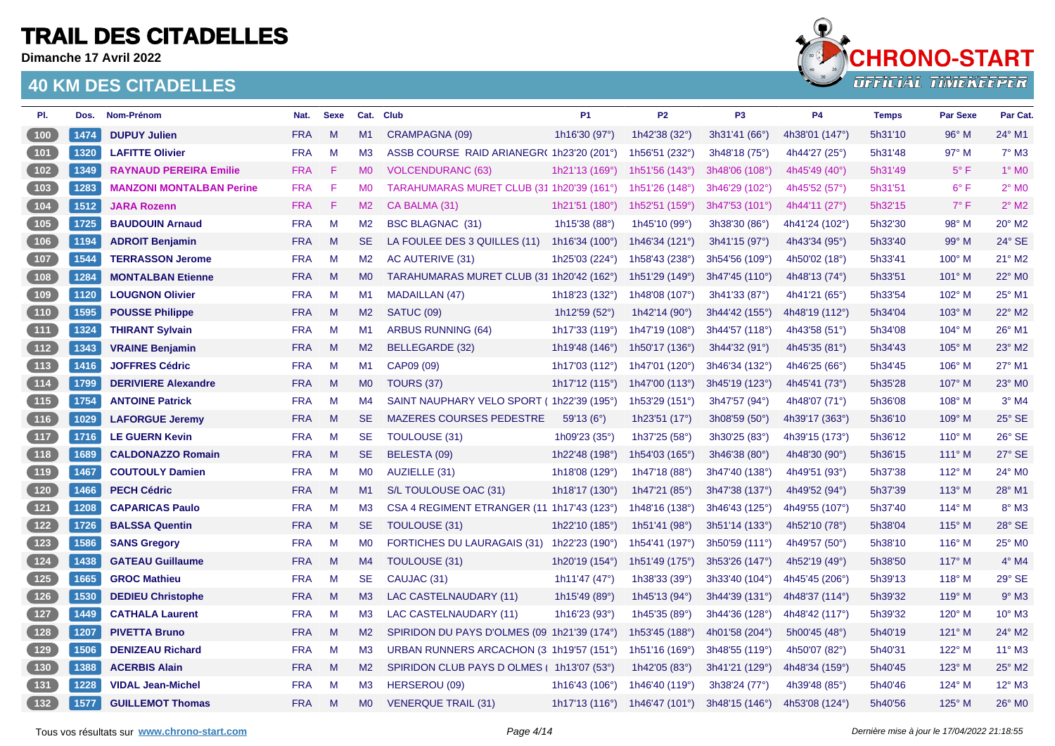**Dimanche 17 Avril 2022**



| PI.                                        | Dos. | <b>Nom-Prénom</b>               | Nat.       | <b>Sexe</b> | Cat.           | <b>Club</b>                                 | <b>P1</b>                | <b>P2</b>                 | P <sub>3</sub>   | <b>P4</b>                | <b>Temps</b> | <b>Par Sexe</b> | Par Cat.                   |
|--------------------------------------------|------|---------------------------------|------------|-------------|----------------|---------------------------------------------|--------------------------|---------------------------|------------------|--------------------------|--------------|-----------------|----------------------------|
| 100                                        | 1474 | <b>DUPUY Julien</b>             | <b>FRA</b> | M           | M1             | CRAMPAGNA (09)                              | 1h16'30 (97°)            | 1h42'38 (32°)             | 3h31'41 (66°)    | 4h38'01 (147°)           | 5h31'10      | $96^\circ$ M    | 24° M1                     |
| (101)                                      | 1320 | <b>LAFITTE Olivier</b>          | <b>FRA</b> | M           | M <sub>3</sub> | ASSB COURSE RAID ARIANEGR( 1h23'20 (201°)   |                          | 1h56'51 (232°)            | 3h48'18 (75°)    | 4h44'27 (25°)            | 5h31'48      | 97° M           | $7^\circ$ M3               |
| 102                                        | 1349 | <b>RAYNAUD PEREIRA Emilie</b>   | <b>FRA</b> | -F.         | <b>MO</b>      | <b>VOLCENDURANC (63)</b>                    | 1h21'13 (169°)           | 1h51'56 $(143°)$          | 3h48'06 (108°)   | 4h45'49 (40 $^{\circ}$ ) | 5h31'49      | $5^{\circ}$ F   | $1^\circ$ MO               |
| $\begin{bmatrix} 103 \end{bmatrix}$        | 1283 | <b>MANZONI MONTALBAN Perine</b> | <b>FRA</b> | -F          | M <sub>0</sub> | TARAHUMARAS MURET CLUB (31 1h20'39 (161°)   |                          | 1h51'26 (148°)            | 3h46'29 (102°)   | 4h45'52 (57°)            | 5h31'51      | $6^{\circ}$ F   | $2^{\circ}$ M <sub>0</sub> |
| 104                                        | 1512 | <b>JARA Rozenn</b>              | <b>FRA</b> | -F          | M2             | CA BALMA (31)                               | 1h21'51 (180°)           | 1h52'51 (159°)            | 3h47'53 (101°)   | 4h44'11 (27 $^{\circ}$ ) | 5h32'15      | $7^\circ$ F     | $2^{\circ}$ M <sub>2</sub> |
| $105$                                      | 1725 | <b>BAUDOUIN Arnaud</b>          | <b>FRA</b> | M           | M <sub>2</sub> | <b>BSC BLAGNAC (31)</b>                     | 1h15'38 (88°)            | 1h45'10 (99°)             | 3h38'30 (86°)    | 4h41'24 (102°)           | 5h32'30      | 98° M           | 20° M2                     |
| (106)                                      | 1194 | <b>ADROIT Benjamin</b>          | <b>FRA</b> | M           | <b>SE</b>      | LA FOULEE DES 3 QUILLES (11)                | 1h16'34 $(100^{\circ})$  | 1h46'34 (121°)            | 3h41'15 (97°)    | 4h43'34 (95°)            | 5h33'40      | 99° M           | 24° SE                     |
| 107                                        | 1544 | <b>TERRASSON Jerome</b>         | <b>FRA</b> | M           | M2             | AC AUTERIVE (31)                            | 1h25'03 (224°)           | 1h58'43 (238°)            | 3h54'56 (109°)   | 4h50'02 (18°)            | 5h33'41      | $100^\circ$ M   | 21° M2                     |
| (108)                                      | 1284 | <b>MONTALBAN Etienne</b>        | <b>FRA</b> | M           | M <sub>0</sub> | TARAHUMARAS MURET CLUB (31 1h20'42 (162°)   |                          | 1h51'29 (149°)            | 3h47'45 (110°)   | 4h48'13 (74°)            | 5h33'51      | $101^\circ$ M   | 22° M0                     |
| 109                                        | 1120 | <b>LOUGNON Olivier</b>          | <b>FRA</b> | M           | M1             | <b>MADAILLAN (47)</b>                       | 1h18'23 (132°)           | 1h48'08 (107°)            | 3h41'33 (87°)    | 4h41'21 (65°)            | 5h33'54      | 102° M          | 25° M1                     |
| (110)                                      | 1595 | <b>POUSSE Philippe</b>          | <b>FRA</b> | M           | M2             | SATUC (09)                                  | 1h12'59 (52 $^{\circ}$ ) | 1h42'14 (90 $^{\circ}$ )  | $3h44'42$ (155°) | 4h48'19 (112°)           | 5h34'04      | $103^\circ$ M   | 22° M2                     |
| (111)                                      | 1324 | <b>THIRANT Sylvain</b>          | <b>FRA</b> | M           | M1             | <b>ARBUS RUNNING (64)</b>                   | 1h17'33 (119°)           | 1h47'19 (108°)            | 3h44'57 (118°)   | 4h43'58 (51°)            | 5h34'08      | 104° M          | 26° M1                     |
| (112)                                      | 1343 | <b>VRAINE Benjamin</b>          | <b>FRA</b> | M           | M2             | BELLEGARDE (32)                             | 1h19'48 $(146°)$         | 1h50'17 (136°)            | 3h44'32 (91°)    | 4h45'35 (81°)            | 5h34'43      | $105^\circ$ M   | 23° M2                     |
| $\begin{array}{c} \boxed{113} \end{array}$ | 1416 | <b>JOFFRES Cédric</b>           | <b>FRA</b> | M           | M1             | CAP09 (09)                                  | 1h17'03 (112°)           | 1h47'01 (120°)            | 3h46'34 (132°)   | 4h46'25 $(66^{\circ})$   | 5h34'45      | $106^\circ$ M   | 27° M1                     |
| (114)                                      | 1799 | <b>DERIVIERE Alexandre</b>      | <b>FRA</b> | M           | M <sub>0</sub> | <b>TOURS (37)</b>                           | 1h17'12 (115°)           | 1h47'00 (113°)            | 3h45'19 (123°)   | 4h45'41 (73°)            | 5h35'28      | 107° M          | 23° M0                     |
| (115)                                      | 1754 | <b>ANTOINE Patrick</b>          | <b>FRA</b> | M           | M4             | SAINT NAUPHARY VELO SPORT (1h22'39 (195°)   |                          | 1h53'29 (151°)            | 3h47'57 (94°)    | 4h48'07 (71°)            | 5h36'08      | 108° M          | $3°$ M4                    |
| (116)                                      | 1029 | <b>LAFORGUE Jeremy</b>          | <b>FRA</b> | M           | <b>SE</b>      | MAZERES COURSES PEDESTRE                    | 59'13 (6°)               | 1h23'51 (17°)             | 3h08'59 (50°)    | 4h39'17 (363°)           | 5h36'10      | 109° M          | 25° SE                     |
| 117                                        | 1716 | <b>LE GUERN Kevin</b>           | <b>FRA</b> | M           | <b>SE</b>      | TOULOUSE (31)                               | 1h09'23 (35°)            | 1h37'25 (58°)             | 3h30'25 (83°)    | 4h39'15 (173°)           | 5h36'12      | $110^{\circ}$ M | 26° SE                     |
| (118)                                      | 1689 | <b>CALDONAZZO Romain</b>        | <b>FRA</b> | M           | <b>SE</b>      | BELESTA (09)                                | 1h22'48 (198°)           | 1h54'03 (165°)            | 3h46'38 (80°)    | 4h48'30 (90°)            | 5h36'15      | $111^\circ$ M   | 27° SE                     |
| (119)                                      | 1467 | <b>COUTOULY Damien</b>          | <b>FRA</b> | M           | M <sub>0</sub> | AUZIELLE (31)                               | 1h18'08 (129°)           | 1h47'18 (88°)             | 3h47'40 (138°)   | 4h49'51 (93°)            | 5h37'38      | 112° M          | 24° MO                     |
| 120                                        | 1466 | <b>PECH Cédric</b>              | <b>FRA</b> | M           | M1             | S/L TOULOUSE OAC (31)                       | 1h18'17 (130°)           | 1h47'21 (85°)             | 3h47'38 (137°)   | 4h49'52 (94°)            | 5h37'39      | 113° M          | 28° M1                     |
| $\boxed{121}$                              | 1208 | <b>CAPARICAS Paulo</b>          | <b>FRA</b> | M           | M <sub>3</sub> | CSA 4 REGIMENT ETRANGER (11 1h17'43 (123°)  |                          | 1h48'16 (138°)            | 3h46'43 (125°)   | 4h49'55 (107°)           | 5h37'40      | $114^\circ$ M   | 8° M3                      |
| $\begin{array}{c} \boxed{122} \end{array}$ | 1726 | <b>BALSSA Quentin</b>           | <b>FRA</b> | M           | SE.            | TOULOUSE (31)                               | 1h22'10 (185°)           | 1h51'41 (98°)             | 3h51'14 (133°)   | 4h52'10 (78°)            | 5h38'04      | $115^\circ$ M   | 28° SE                     |
| $\begin{array}{c} \boxed{123} \end{array}$ | 1586 | <b>SANS Gregory</b>             | <b>FRA</b> | M           | M <sub>0</sub> | <b>FORTICHES DU LAURAGAIS (31)</b>          | 1h22'23 (190°)           | 1h54'41 (197°)            | 3h50'59 (111°)   | 4h49'57 (50°)            | 5h38'10      | $116^{\circ}$ M | 25° M0                     |
| $124$                                      | 1438 | <b>GATEAU Guillaume</b>         | <b>FRA</b> | M           | M4             | TOULOUSE (31)                               | 1h20'19 (154°)           | 1h51'49 (175°)            | 3h53'26 (147°)   | 4h52'19 (49 $^{\circ}$ ) | 5h38'50      | 117° M          | $4^\circ$ M4               |
| $125$                                      | 1665 | <b>GROC Mathieu</b>             | <b>FRA</b> | M           | <b>SE</b>      | CAUJAC (31)                                 | 1h11'47 (47°)            | 1h38'33 (39°)             | 3h33'40 (104°)   | 4h45'45 (206°)           | 5h39'13      | $118^\circ$ M   | 29° SE                     |
| $\boxed{126}$                              | 1530 | <b>DEDIEU Christophe</b>        | <b>FRA</b> | M           | M3             | LAC CASTELNAUDARY (11)                      | 1h15'49 (89°)            | 1h45'13 (94°)             | 3h44'39 (131°)   | 4h48'37 (114°)           | 5h39'32      | 119° M          | $9°$ M3                    |
| 127                                        | 1449 | <b>CATHALA Laurent</b>          | <b>FRA</b> | M           | M3             | LAC CASTELNAUDARY (11)                      | 1h16'23 (93°)            | 1h45'35 (89°)             | 3h44'36 (128°)   | 4h48'42 (117°)           | 5h39'32      | 120° M          | 10° M3                     |
| 128                                        | 1207 | <b>PIVETTA Bruno</b>            | <b>FRA</b> | M           | M2             | SPIRIDON DU PAYS D'OLMES (09 1h21'39 (174°) |                          | 1h53'45 (188°)            | 4h01'58 (204°)   | 5h00'45 (48°)            | 5h40'19      | $121^\circ$ M   | 24° M2                     |
| 129                                        | 1506 | <b>DENIZEAU Richard</b>         | <b>FRA</b> | M           | M <sub>3</sub> | URBAN RUNNERS ARCACHON (3 1h19'57 (151°)    |                          | 1h51'16 (169 $^{\circ}$ ) | 3h48'55 (119°)   | 4h50'07 (82°)            | 5h40'31      | 122° M          | 11° M3                     |
| $\begin{array}{c} \hline 130 \end{array}$  | 1388 | <b>ACERBIS Alain</b>            | <b>FRA</b> | M           | M2             | SPIRIDON CLUB PAYS D OLMES   1h13'07 (53°)  |                          | 1h42'05 (83°)             | 3h41'21 (129°)   | 4h48'34 (159°)           | 5h40'45      | 123° M          | 25° M2                     |
| $131$                                      | 1228 | <b>VIDAL Jean-Michel</b>        | <b>FRA</b> | M           | M <sub>3</sub> | HERSEROU (09)                               | 1h16'43 (106°)           | 1h46'40 (119°)            | 3h38'24 (77°)    | 4h39'48 (85°)            | 5h40'46      | 124° M          | 12° M3                     |
| (132)                                      | 1577 | <b>GUILLEMOT Thomas</b>         | <b>FRA</b> | M           | M <sub>0</sub> | <b>VENERQUE TRAIL (31)</b>                  | 1h17'13 $(116°)$         | 1h46'47 (101°)            | 3h48'15 (146°)   | 4h53'08 (124°)           | 5h40'56      | $125^\circ$ M   | 26° MO                     |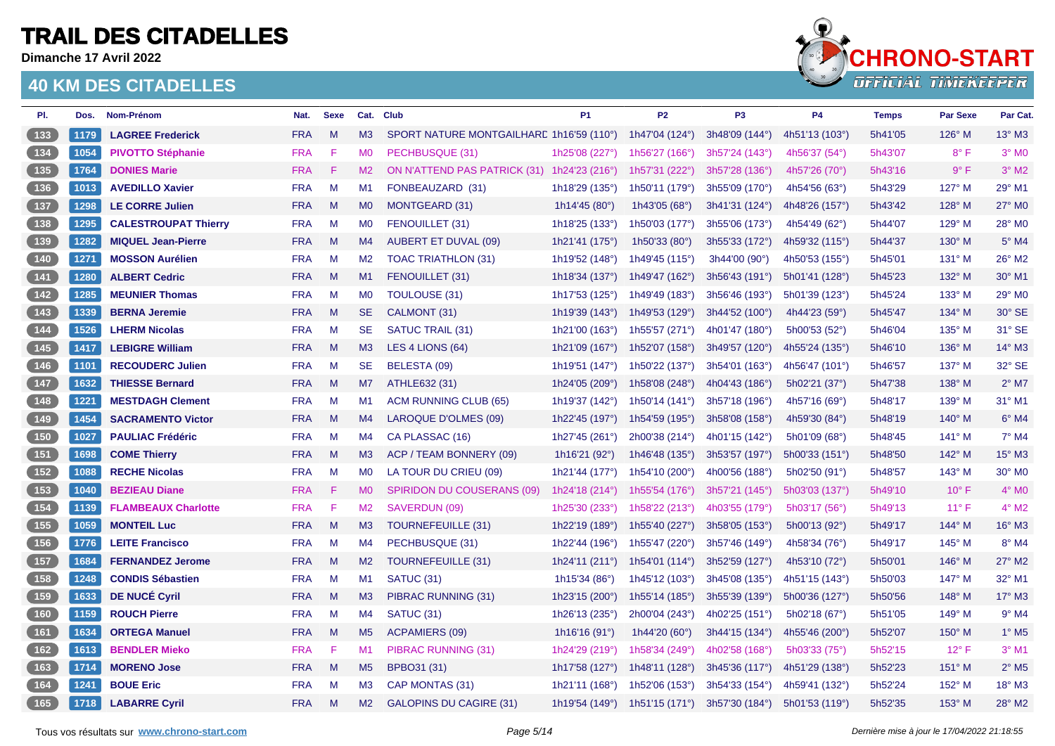**Dimanche 17 Avril 2022**



| PI.                                   | Dos. | Nom-Prénom                  | Nat.       | <b>Sexe</b> | Cat.           | <b>Club</b>                                 | <b>P1</b>                | <b>P2</b>                 | P <sub>3</sub> | <b>P4</b>              | <b>Temps</b> | <b>Par Sexe</b> | Par Cat.                   |
|---------------------------------------|------|-----------------------------|------------|-------------|----------------|---------------------------------------------|--------------------------|---------------------------|----------------|------------------------|--------------|-----------------|----------------------------|
| $133$                                 | 1179 | <b>LAGREE Frederick</b>     | <b>FRA</b> | M           | M3             | SPORT NATURE MONTGAILHARE 1h16'59 (110°)    |                          | 1h47'04 (124°)            | 3h48'09 (144°) | 4h51'13 (103°)         | 5h41'05      | $126^\circ$ M   | 13° M3                     |
| $134$                                 | 1054 | <b>PIVOTTO Stéphanie</b>    | <b>FRA</b> | F           | M <sub>0</sub> | PECHBUSQUE (31)                             | 1h25'08 (227°)           | 1h56'27 $(166°)$          | 3h57'24 (143°) | 4h56'37 (54°)          | 5h43'07      | $8^{\circ}$ F   | $3°$ M <sub>0</sub>        |
| 135                                   | 1764 | <b>DONIES Marie</b>         | <b>FRA</b> | -F.         | M2             | ON N'ATTEND PAS PATRICK (31) 1h24'23 (216°) |                          | 1h57'31 (222°)            | 3h57'28 (136°) | 4h57'26 (70°)          | 5h43'16      | 9° F            | $3°$ M <sub>2</sub>        |
| $136$                                 | 1013 | <b>AVEDILLO Xavier</b>      | <b>FRA</b> | M           | M1             | FONBEAUZARD (31)                            | 1h18'29 (135°)           | 1h50'11 (179°)            | 3h55'09 (170°) | 4h54'56 $(63°)$        | 5h43'29      | 127° M          | 29° M1                     |
| $137$                                 | 1298 | <b>LE CORRE Julien</b>      | <b>FRA</b> | M           | M <sub>0</sub> | <b>MONTGEARD (31)</b>                       | 1h14'45 (80°)            | 1h43'05 (68°)             | 3h41'31 (124°) | 4h48'26 (157°)         | 5h43'42      | 128° M          | 27° M0                     |
| $138$                                 | 1295 | <b>CALESTROUPAT Thierry</b> | <b>FRA</b> | M           | M <sub>0</sub> | FENOUILLET (31)                             | 1h18'25 (133°)           | 1h50'03 (177°)            | 3h55'06 (173°) | 4h54'49 $(62^{\circ})$ | 5h44'07      | $129^\circ$ M   | 28° M0                     |
| (139)                                 | 1282 | <b>MIQUEL Jean-Pierre</b>   | <b>FRA</b> | M           | M4             | <b>AUBERT ET DUVAL (09)</b>                 | 1h21'41 (175°)           | 1h50'33 (80°)             | 3h55'33 (172°) | 4h59'32 (115°)         | 5h44'37      | $130^\circ$ M   | $5^\circ$ M4               |
| $140$                                 | 1271 | <b>MOSSON Aurélien</b>      | <b>FRA</b> | M           | M2             | <b>TOAC TRIATHLON (31)</b>                  | 1h19'52 (148°)           | 1h49'45 (115°)            | 3h44'00 (90°)  | 4h50'53 (155°)         | 5h45'01      | $131^\circ$ M   | 26° M2                     |
| (141)                                 | 1280 | <b>ALBERT Cedric</b>        | <b>FRA</b> | M           | M1             | FENOUILLET (31)                             | 1h18'34 (137°)           | 1h49'47 (162°)            | 3h56'43 (191°) | 5h01'41 (128°)         | 5h45'23      | 132° M          | 30° M1                     |
| $142$                                 | 1285 | <b>MEUNIER Thomas</b>       | <b>FRA</b> | M           | M <sub>0</sub> | TOULOUSE (31)                               | 1h17'53 (125°)           | 1h49'49 (183°)            | 3h56'46 (193°) | 5h01'39 (123°)         | 5h45'24      | 133° M          | 29° M0                     |
|                                       | 1339 | <b>BERNA Jeremie</b>        | <b>FRA</b> | M           | SE.            | CALMONT (31)                                | 1h19'39 (143°)           | 1h49'53 (129°)            | 3h44'52 (100°) | 4h44'23 (59°)          | 5h45'47      | 134° M          | 30° SE                     |
| $\begin{array}{c} \n144\n\end{array}$ | 1526 | <b>LHERM Nicolas</b>        | <b>FRA</b> | M           | <b>SE</b>      | SATUC TRAIL (31)                            | 1h21'00 (163°)           | 1h55'57 (271°)            | 4h01'47 (180°) | 5h00'53 (52°)          | 5h46'04      | $135^\circ$ M   | 31° SE                     |
| 145                                   | 1417 | <b>LEBIGRE William</b>      | <b>FRA</b> | M           | M3             | LES 4 LIONS (64)                            | 1h21'09 (167°)           | 1h52'07 (158°)            | 3h49'57 (120°) | 4h55'24 (135°)         | 5h46'10      | $136^\circ$ M   | 14° M3                     |
| $\boxed{146}$                         | 1101 | <b>RECOUDERC Julien</b>     | <b>FRA</b> | M           | <b>SE</b>      | BELESTA (09)                                | 1h19'51 (147°)           | 1h50'22 (137°)            | 3h54'01 (163°) | 4h56'47 (101°)         | 5h46'57      | 137° M          | 32° SE                     |
| 147                                   | 1632 | <b>THIESSE Bernard</b>      | <b>FRA</b> | M           | M7             | ATHLE632 (31)                               | 1h24'05 (209°)           | 1h58'08 (248°)            | 4h04'43 (186°) | 5h02'21 (37°)          | 5h47'38      | 138° M          | $2^{\circ}$ M7             |
| $148$                                 | 1221 | <b>MESTDAGH Clement</b>     | <b>FRA</b> | M           | M1             | ACM RUNNING CLUB (65)                       | 1h19'37 (142°)           | 1h50'14 (141°)            | 3h57'18 (196°) | 4h57'16 (69°)          | 5h48'17      | 139° M          | 31° M1                     |
| (149)                                 | 1454 | <b>SACRAMENTO Victor</b>    | <b>FRA</b> | M           | M4             | LAROQUE D'OLMES (09)                        | 1h22'45 (197°)           | 1h54'59 (195 $^{\circ}$ ) | 3h58'08 (158°) | 4h59'30 (84°)          | 5h48'19      | $140^\circ$ M   | $6^\circ$ M4               |
| 150                                   | 1027 | <b>PAULIAC Frédéric</b>     | <b>FRA</b> | M           | M4             | CA PLASSAC (16)                             | 1h27'45 (261°)           | 2h00'38 (214°)            | 4h01'15 (142°) | 5h01'09 (68°)          | 5h48'45      | $141^\circ$ M   | $7^\circ$ M4               |
| 151                                   | 1698 | <b>COME Thierry</b>         | <b>FRA</b> | M           | M <sub>3</sub> | ACP / TEAM BONNERY (09)                     | 1h16'21 (92 $^{\circ}$ ) | 1h46'48 $(135^{\circ})$   | 3h53'57 (197°) | 5h00'33 (151°)         | 5h48'50      | 142° M          | $15^\circ$ M3              |
| $152$                                 | 1088 | <b>RECHE Nicolas</b>        | <b>FRA</b> | M           | <b>MO</b>      | LA TOUR DU CRIEU (09)                       | 1h21'44 (177°)           | 1h54'10 (200°)            | 4h00'56 (188°) | 5h02'50 (91°)          | 5h48'57      | 143° M          | 30° MO                     |
| $153$                                 | 1040 | <b>BEZIEAU Diane</b>        | <b>FRA</b> | F           | M <sub>0</sub> | <b>SPIRIDON DU COUSERANS (09)</b>           | 1h24'18 (214°)           | 1h55'54 $(176°)$          | 3h57'21 (145°) | 5h03'03(137°)          | 5h49'10      | $10^{\circ}$ F  | $4^\circ$ MO               |
| $154$                                 | 1139 | <b>FLAMBEAUX Charlotte</b>  | <b>FRA</b> | -F.         | M <sub>2</sub> | SAVERDUN (09)                               | 1h25'30 (233°)           | 1h58'22 (213°)            | 4h03'55 (179°) | 5h03'17 (56°)          | 5h49'13      | $11^{\circ}$ F  | $4^\circ$ M2               |
| 155                                   | 1059 | <b>MONTEIL Luc</b>          | <b>FRA</b> | M           | M3             | TOURNEFEUILLE (31)                          | 1h22'19 (189°)           | 1h55'40 (227°)            | 3h58'05 (153°) | 5h00'13 (92°)          | 5h49'17      | 144° M          | $16^\circ$ M3              |
| $156$                                 | 1776 | <b>LEITE Francisco</b>      | <b>FRA</b> | M           | M4             | PECHBUSQUE (31)                             | 1h22'44 (196°)           | 1h55'47 (220°)            | 3h57'46 (149°) | 4h58'34 (76°)          | 5h49'17      | 145° M          | $8^\circ$ M4               |
| 157                                   | 1684 | <b>FERNANDEZ Jerome</b>     | <b>FRA</b> | M           | M2             | TOURNEFEUILLE (31)                          | 1h24'11 $(211^{\circ})$  | 1h54'01 $(114^{\circ})$   | 3h52'59 (127°) | 4h53'10 (72°)          | 5h50'01      | 146° M          | 27° M2                     |
| 158                                   | 1248 | <b>CONDIS Sébastien</b>     | <b>FRA</b> | M           | M1             | SATUC (31)                                  | 1h15'34 (86°)            | 1h45'12 (103°)            | 3h45'08 (135°) | 4h51'15 (143°)         | 5h50'03      | 147° M          | 32° M1                     |
| (159)                                 | 1633 | <b>DE NUCÉ Cyril</b>        | <b>FRA</b> | M           | M3             | PIBRAC RUNNING (31)                         | 1h23'15 (200°)           | 1h55'14 (185 $^{\circ}$ ) | 3h55'39 (139°) | 5h00'36 (127°)         | 5h50'56      | $148^\circ$ M   | 17° M3                     |
| [160]                                 | 1159 | <b>ROUCH Pierre</b>         | <b>FRA</b> | M           | M4             | SATUC (31)                                  | 1h26'13 (235°)           | 2h00'04 (243°)            | 4h02'25 (151°) | 5h02'18 (67°)          | 5h51'05      | $149^\circ$ M   | $9°$ M4                    |
| (161)                                 | 1634 | <b>ORTEGA Manuel</b>        | <b>FRA</b> | M           | M <sub>5</sub> | <b>ACPAMIERS (09)</b>                       | 1h16'16 (91°)            | 1h44'20 (60°)             | 3h44'15 (134°) | 4h55'46 (200°)         | 5h52'07      | $150^\circ$ M   | $1^\circ$ M <sub>5</sub>   |
| $162$                                 | 1613 | <b>BENDLER Mieko</b>        | <b>FRA</b> | -F          | M1             | PIBRAC RUNNING (31)                         | 1h24'29 (219°)           | 1h58'34 (249°)            | 4h02'58 (168°) | 5h03'33 (75°)          | 5h52'15      | $12^{\circ}$ F  | $3°$ M1                    |
| 163                                   | 1714 | <b>MORENO Jose</b>          | <b>FRA</b> | M           | M <sub>5</sub> | BPBO31 (31)                                 | 1h17'58 (127°)           | 1h48'11 (128°)            | 3h45'36 (117°) | 4h51'29 (138°)         | 5h52'23      | 151° M          | $2^{\circ}$ M <sub>5</sub> |
| $164$                                 | 1241 | <b>BOUE Eric</b>            | <b>FRA</b> | M           | M3             | CAP MONTAS (31)                             | 1h21'11 (168°)           | 1h52'06 (153°)            | 3h54'33 (154°) | 4h59'41 (132°)         | 5h52'24      | 152° M          | 18° M3                     |
| [165]                                 | 1718 | <b>LABARRE Cyril</b>        | <b>FRA</b> | M           | M2             | <b>GALOPINS DU CAGIRE (31)</b>              | 1h19'54 (149°)           | 1h51'15 $(171°)$          | 3h57'30 (184°) | 5h01'53 (119°)         | 5h52'35      | 153° M          | $28^\circ$ M2              |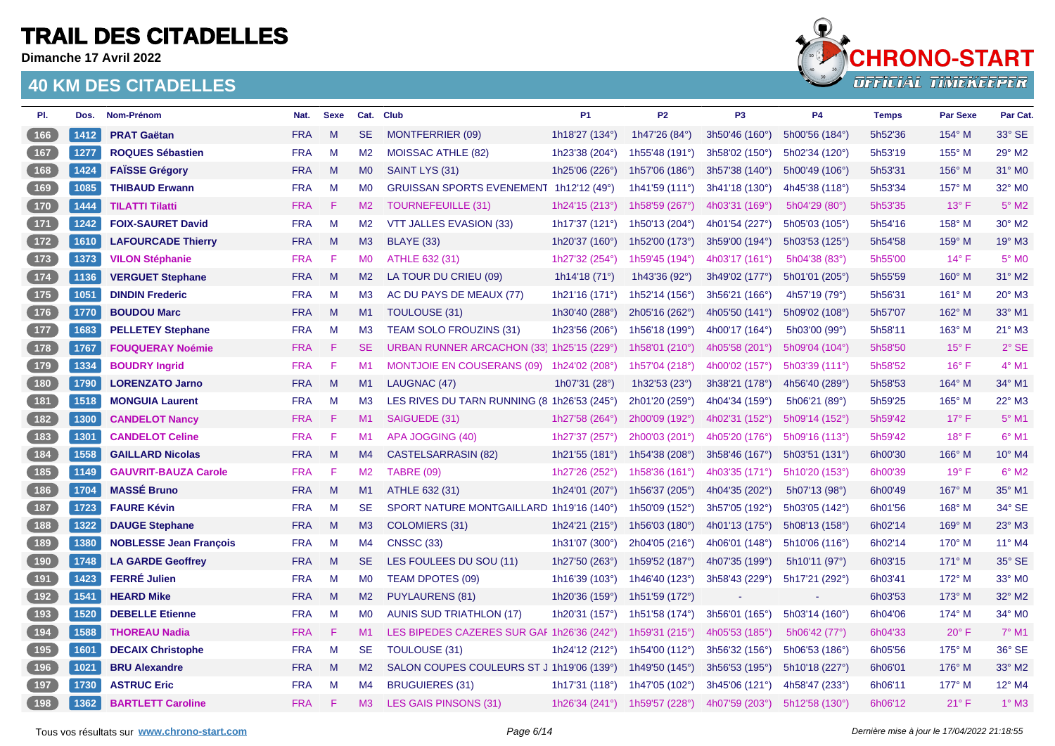**Dimanche 17 Avril 2022**



| PI.                                        | Dos. | Nom-Prénom                    | Nat.       | <b>Sexe</b> |                | Cat. Club                                   | P <sub>1</sub>  | P <sub>2</sub>            | P <sub>3</sub> | <b>P4</b>      | <b>Temps</b> | <b>Par Sexe</b> | Par Cat.       |
|--------------------------------------------|------|-------------------------------|------------|-------------|----------------|---------------------------------------------|-----------------|---------------------------|----------------|----------------|--------------|-----------------|----------------|
| $166$                                      | 1412 | <b>PRAT Gaëtan</b>            | <b>FRA</b> | M           | <b>SE</b>      | <b>MONTFERRIER (09)</b>                     | 1h18'27 (134°)  | 1h47'26 (84°)             | 3h50'46 (160°) | 5h00'56 (184°) | 5h52'36      | 154° M          | 33° SE         |
| $167$                                      | 1277 | <b>ROQUES Sébastien</b>       | <b>FRA</b> | M           | M <sub>2</sub> | MOISSAC ATHLE (82)                          | 1h23'38 (204°)  | 1h55'48 (191°)            | 3h58'02 (150°) | 5h02'34 (120°) | 5h53'19      | 155° M          | 29° M2         |
| 168                                        | 1424 | <b>FAISSE Grégory</b>         | <b>FRA</b> | M           | M <sub>0</sub> | SAINT LYS (31)                              | 1h25'06 (226°)  | 1h57'06 (186°)            | 3h57'38 (140°) | 5h00'49 (106°) | 5h53'31      | 156° M          | 31° M0         |
| 169                                        | 1085 | <b>THIBAUD Erwann</b>         | <b>FRA</b> | M           | M <sub>0</sub> | GRUISSAN SPORTS EVENEMENT 1h12'12 (49°)     |                 | 1h41'59 $(111°)$          | 3h41'18 (130°) | 4h45'38 (118°) | 5h53'34      | 157° M          | 32° MO         |
| 170                                        | 1444 | <b>TILATTI Tilatti</b>        | <b>FRA</b> | F           | M2             | <b>TOURNEFEUILLE (31)</b>                   | 1h24'15 (213°)  | 1h58'59 (267°)            | 4h03'31 (169°) | 5h04'29 (80°)  | 5h53'35      | $13^\circ$ F    | $5^\circ$ M2   |
| $\begin{array}{c} \boxed{171} \end{array}$ | 1242 | <b>FOIX-SAURET David</b>      | <b>FRA</b> | M           | M2             | VTT JALLES EVASION (33)                     | 1h17'37 (121°)  | 1h50'13 (204°)            | 4h01'54 (227°) | 5h05'03 (105°) | 5h54'16      | 158° M          | 30° M2         |
| 172                                        | 1610 | <b>LAFOURCADE Thierry</b>     | <b>FRA</b> | M           | M3             | <b>BLAYE (33)</b>                           | 1h20'37 (160°)  | 1h52'00 (173°)            | 3h59'00 (194°) | 5h03'53 (125°) | 5h54'58      | 159° M          | 19° M3         |
| $173$                                      | 1373 | <b>VILON Stéphanie</b>        | <b>FRA</b> | F           | M <sub>0</sub> | ATHLE 632 (31)                              | 1h27'32 (254°)  | 1h59'45 (194°)            | 4h03'17 (161°) | 5h04'38 (83°)  | 5h55'00      | 14°F            | $5^\circ$ MO   |
| $174$                                      | 1136 | <b>VERGUET Stephane</b>       | <b>FRA</b> | M           | M2             | LA TOUR DU CRIEU (09)                       | 1h14'18 $(71°)$ | 1h43'36 (92°)             | 3h49'02 (177°) | 5h01'01 (205°) | 5h55'59      | $160^\circ$ M   | 31° M2         |
| $175$                                      | 1051 | <b>DINDIN Frederic</b>        | <b>FRA</b> | M           | M <sub>3</sub> | AC DU PAYS DE MEAUX (77)                    | 1h21'16 (171°)  | 1h52'14 (156 $^{\circ}$ ) | 3h56'21 (166°) | 4h57'19 (79°)  | 5h56'31      | 161° M          | 20° M3         |
| 176                                        | 1770 | <b>BOUDOU Marc</b>            | <b>FRA</b> | M           | M1             | TOULOUSE (31)                               | 1h30'40 (288°)  | 2h05'16 (262°)            | 4h05'50 (141°) | 5h09'02 (108°) | 5h57'07      | 162° M          | 33° M1         |
| 177                                        | 1683 | <b>PELLETEY Stephane</b>      | <b>FRA</b> | M           | M3             | <b>TEAM SOLO FROUZINS (31)</b>              | 1h23'56 (206°)  | 1h56'18 (199°)            | 4h00'17 (164°) | 5h03'00 (99°)  | 5h58'11      | 163° M          | 21° M3         |
| $178$                                      | 1767 | <b>FOUQUERAY Noémie</b>       | <b>FRA</b> | F           | <b>SE</b>      | URBAN RUNNER ARCACHON (33) 1h25'15 (229°)   |                 | 1h58'01 (210°)            | 4h05'58 (201°) | 5h09'04 (104°) | 5h58'50      | $15^{\circ}$ F  | $2°$ SE        |
| $179$                                      | 1334 | <b>BOUDRY Ingrid</b>          | <b>FRA</b> | F           | M1             | <b>MONTJOIE EN COUSERANS (09)</b>           | 1h24'02 (208°)  | 1h57'04 (218°)            | 4h00'02 (157°) | 5h03'39(111°)  | 5h58'52      | $16^{\circ}$ F  | $4^\circ$ M1   |
| 180                                        | 1790 | <b>LORENZATO Jarno</b>        | <b>FRA</b> | M           | M1             | LAUGNAC (47)                                | 1h07'31 $(28°)$ | 1h32'53 $(23°)$           | 3h38'21 (178°) | 4h56'40 (289°) | 5h58'53      | 164° M          | 34° M1         |
| 181                                        | 1518 | <b>MONGUIA Laurent</b>        | <b>FRA</b> | M           | M3             | LES RIVES DU TARN RUNNING (8 1h26'53 (245°) |                 | 2h01'20 (259°)            | 4h04'34 (159°) | 5h06'21 (89°)  | 5h59'25      | 165° M          | 22° M3         |
| $\begin{array}{c} \boxed{182} \end{array}$ | 1300 | <b>CANDELOT Nancy</b>         | <b>FRA</b> | -F.         | M1             | SAIGUEDE (31)                               | 1h27'58 (264°)  | 2h00'09 (192°)            | 4h02'31 (152°) | 5h09'14 (152°) | 5h59'42      | $17^{\circ}$ F  | $5^\circ$ M1   |
| $\begin{array}{c} \boxed{183} \end{array}$ | 1301 | <b>CANDELOT Celine</b>        | <b>FRA</b> | F           | M1             | APA JOGGING (40)                            | 1h27'37 (257°)  | 2h00'03 (201°)            | 4h05'20 (176°) | 5h09'16 (113°) | 5h59'42      | $18^\circ$ F    | $6^{\circ}$ M1 |
| $\begin{array}{c} \boxed{184} \end{array}$ | 1558 | <b>GAILLARD Nicolas</b>       | <b>FRA</b> | M           | M4             | <b>CASTELSARRASIN (82)</b>                  | 1h21'55 (181°)  | 1h54'38 (208°)            | 3h58'46 (167°) | 5h03'51 (131°) | 6h00'30      | 166° M          | 10° M4         |
| $185$                                      | 1149 | <b>GAUVRIT-BAUZA Carole</b>   | <b>FRA</b> | F           | M <sub>2</sub> | <b>TABRE (09)</b>                           | 1h27'26 (252°)  | 1h58'36 (161°)            | 4h03'35 (171°) | 5h10'20 (153°) | 6h00'39      | 19°F            | $6°$ M2        |
| 186                                        | 1704 | <b>MASSÉ Bruno</b>            | <b>FRA</b> | M           | M1             | ATHLE 632 (31)                              | 1h24'01 (207°)  | 1h56'37 (205°)            | 4h04'35 (202°) | 5h07'13 (98°)  | 6h00'49      | 167° M          | 35° M1         |
| $187$                                      | 1723 | <b>FAURE Kévin</b>            | <b>FRA</b> | M           | <b>SE</b>      | SPORT NATURE MONTGAILLARD 1h19'16 (140°)    |                 | 1h50'09 (152°)            | 3h57'05 (192°) | 5h03'05 (142°) | 6h01'56      | $168^\circ$ M   | 34° SE         |
| 188                                        | 1322 | <b>DAUGE Stephane</b>         | <b>FRA</b> | M           | M3             | <b>COLOMIERS (31)</b>                       | 1h24'21 (215°)  | 1h56'03 (180°)            | 4h01'13 (175°) | 5h08'13 (158°) | 6h02'14      | 169° M          | 23° M3         |
| (189)                                      | 1380 | <b>NOBLESSE Jean François</b> | <b>FRA</b> | M           | M4             | <b>CNSSC (33)</b>                           | 1h31'07 (300°)  | 2h04'05 (216°)            | 4h06'01 (148°) | 5h10'06 (116°) | 6h02'14      | 170° M          | 11° M4         |
| (190)                                      | 1748 | <b>LA GARDE Geoffrey</b>      | <b>FRA</b> | M           | SE.            | LES FOULEES DU SOU (11)                     | 1h27'50 (263°)  | 1h59'52 (187°)            | 4h07'35 (199°) | 5h10'11 (97°)  | 6h03'15      | $171^\circ$ M   | 35° SE         |
| (191)                                      | 1423 | <b>FERRÉ Julien</b>           | <b>FRA</b> | M           | M <sub>0</sub> | <b>TEAM DPOTES (09)</b>                     | 1h16'39 (103°)  | 1h46'40 (123°)            | 3h58'43 (229°) | 5h17'21 (292°) | 6h03'41      | 172° M          | 33° MO         |
| 192                                        | 1541 | <b>HEARD Mike</b>             | <b>FRA</b> | M           | M2             | <b>PUYLAURENS (81)</b>                      | 1h20'36 (159°)  | 1h51'59 (172°)            |                | $\sim$         | 6h03'53      | 173° M          | 32° M2         |
| $\begin{array}{c} \boxed{193} \end{array}$ | 1520 | <b>DEBELLE Etienne</b>        | <b>FRA</b> | M           | <b>MO</b>      | <b>AUNIS SUD TRIATHLON (17)</b>             | 1h20'31 (157°)  | 1h51'58 (174°)            | 3h56'01 (165°) | 5h03'14 (160°) | 6h04'06      | 174° M          | 34° MO         |
| (194)                                      | 1588 | <b>THOREAU Nadia</b>          | <b>FRA</b> | -F          | M1             | LES BIPEDES CAZERES SUR GAF 1h26'36 (242°)  |                 | 1h59'31 (215°)            | 4h05'53 (185°) | 5h06'42 (77°)  | 6h04'33      | $20^\circ$ F    | $7°$ M1        |
| $195$                                      | 1601 | <b>DECAIX Christophe</b>      | <b>FRA</b> | M           | <b>SE</b>      | TOULOUSE (31)                               | 1h24'12 (212°)  | 1h54'00 (112°)            | 3h56'32 (156°) | 5h06'53 (186°) | 6h05'56      | $175^\circ$ M   | 36° SE         |
| (196)                                      | 1021 | <b>BRU Alexandre</b>          | <b>FRA</b> | M           | M2             | SALON COUPES COULEURS ST J 1h19'06 (139°)   |                 | 1h49'50 (145°)            | 3h56'53 (195°) | 5h10'18 (227°) | 6h06'01      | 176° M          | 33° M2         |
| $197$                                      | 1730 | <b>ASTRUC Eric</b>            | <b>FRA</b> | M           | M4             | <b>BRUGUIERES (31)</b>                      | 1h17'31 (118°)  | 1h47'05 (102°)            | 3h45'06 (121°) | 4h58'47 (233°) | 6h06'11      | 177° M          | 12° M4         |
| [198]                                      | 1362 | <b>BARTLETT Caroline</b>      | <b>FRA</b> | F.          | M3             | <b>LES GAIS PINSONS (31)</b>                | 1h26'34 (241°)  | 1h59'57 (228°)            | 4h07'59 (203°) | 5h12'58 (130°) | 6h06'12      | $21°$ F         | $1^\circ$ M3   |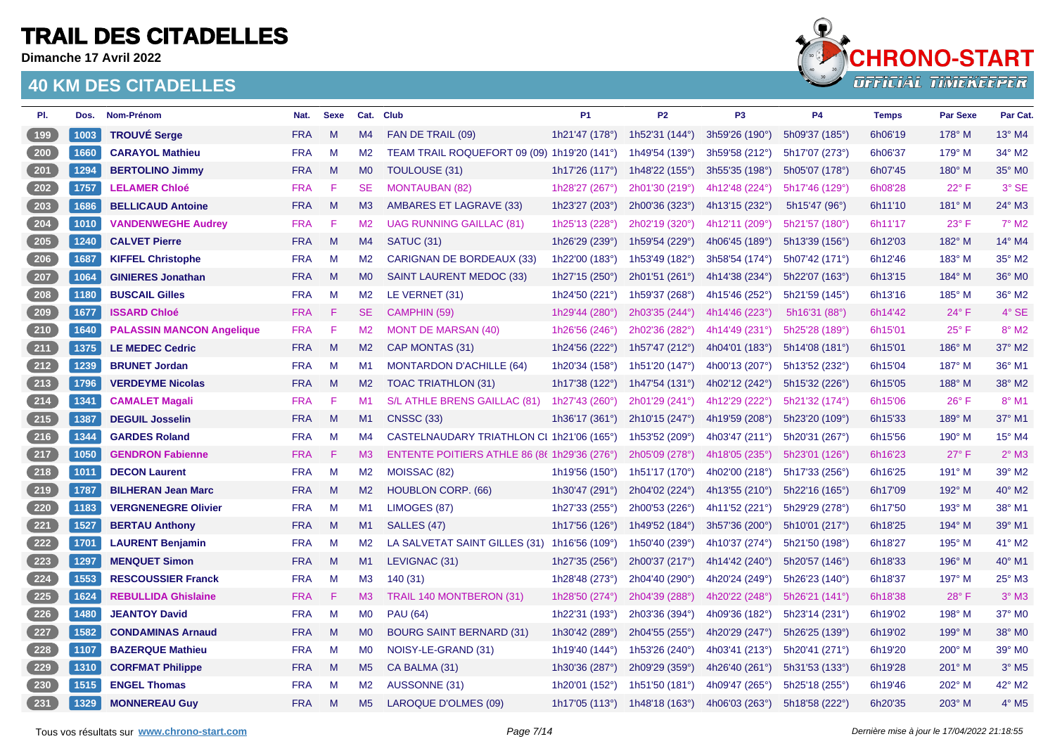**Dimanche 17 Avril 2022**



| PI.                | Dos. | Nom-Prénom                       | Nat.       | <b>Sexe</b>  |                | Cat. Club                                    | <b>P1</b>             | <b>P2</b>               | P <sub>3</sub>          | <b>P4</b>      | <b>Temps</b> | Par Sexe       | Par Cat.            |
|--------------------|------|----------------------------------|------------|--------------|----------------|----------------------------------------------|-----------------------|-------------------------|-------------------------|----------------|--------------|----------------|---------------------|
| 199                | 1003 | <b>TROUVÉ Serge</b>              | <b>FRA</b> | M            | M4             | FAN DE TRAIL (09)                            | 1h21'47 (178°)        | 1h52'31 $(144^{\circ})$ | 3h59'26 (190°)          | 5h09'37 (185°) | 6h06'19      | $178^\circ$ M  | $13^{\circ}$ M4     |
| <b>200</b>         | 1660 | <b>CARAYOL Mathieu</b>           | <b>FRA</b> | M            | M <sub>2</sub> | TEAM TRAIL ROQUEFORT 09 (09) 1h19'20 (141°)  |                       | 1h49'54 (139°)          | 3h59'58 (212°)          | 5h17'07 (273°) | 6h06'37      | $179^\circ$ M  | 34° M2              |
| 201                | 1294 | <b>BERTOLINO Jimmy</b>           | <b>FRA</b> | M            | <b>MO</b>      | TOULOUSE (31)                                | 1h17'26 $(117°)$      | 1h48'22 $(155^{\circ})$ | 3h55'35 (198°)          | 5h05'07 (178°) | 6h07'45      | 180° M         | 35° MO              |
| 202                | 1757 | <b>LELAMER Chloé</b>             | <b>FRA</b> | F            | <b>SE</b>      | <b>MONTAUBAN (82)</b>                        | 1h28'27 (267°)        | 2h01'30 (219°)          | 4h12'48 (224°)          | 5h17'46 (129°) | 6h08'28      | $22^{\circ}$ F | 3° SE               |
| $203$              | 1686 | <b>BELLICAUD Antoine</b>         | <b>FRA</b> | M            | M <sub>3</sub> | AMBARES ET LAGRAVE (33)                      | 1h23'27 (203°)        | 2h00'36 (323°)          | 4h13'15 (232°)          | 5h15'47 (96°)  | 6h11'10      | 181° M         | 24° M3              |
| $\boxed{204}$      | 1010 | <b>VANDENWEGHE Audrey</b>        | <b>FRA</b> | F            | M <sub>2</sub> | <b>UAG RUNNING GAILLAC (81)</b>              | 1h25'13 (228°)        | 2h02'19 (320°)          | 4h12'11 (209°)          | 5h21'57 (180°) | 6h11'17      | 23° F          | $7^\circ$ M2        |
| 205                | 1240 | <b>CALVET Pierre</b>             | <b>FRA</b> | $M_{\odot}$  | M4             | <b>SATUC (31)</b>                            | 1h26'29 (239°)        | 1h59'54 (229°)          | 4h06'45 (189°)          | 5h13'39 (156°) | 6h12'03      | 182° M         | 14° M4              |
| 206                | 1687 | <b>KIFFEL Christophe</b>         | <b>FRA</b> | M            | M <sub>2</sub> | <b>CARIGNAN DE BORDEAUX (33)</b>             | 1h22'00 (183°)        | 1h53'49 (182°)          | 3h58'54 (174°)          | 5h07'42 (171°) | 6h12'46      | 183° M         | 35° M2              |
| 207                | 1064 | <b>GINIERES Jonathan</b>         | <b>FRA</b> | $\mathsf{M}$ | MO             | <b>SAINT LAURENT MEDOC (33)</b>              | 1h27'15 (250°)        | 2h01'51 (261°)          | 4h14'38 (234°)          | 5h22'07 (163°) | 6h13'15      | 184° M         | 36° M0              |
| 208                | 1180 | <b>BUSCAIL Gilles</b>            | <b>FRA</b> | M            | M2             | LE VERNET (31)                               | 1h24'50 (221°)        | 1h59'37 (268°)          | 4h15'46 (252°)          | 5h21'59 (145°) | 6h13'16      | 185° M         | 36° M2              |
| 209                | 1677 | <b>ISSARD Chloé</b>              | <b>FRA</b> | F            | <b>SE</b>      | CAMPHIN (59)                                 | 1h29'44 (280°)        | 2h03'35 (244°)          | 4h14'46 (223°)          | 5h16'31 (88°)  | 6h14'42      | $24^{\circ}$ F | $4^\circ$ SE        |
| $210$              | 1640 | <b>PALASSIN MANCON Angelique</b> | <b>FRA</b> | F            | M <sub>2</sub> | <b>MONT DE MARSAN (40)</b>                   | 1h26'56 (246°)        | 2h02'36 (282°)          | 4h14'49 (231°)          | 5h25'28 (189°) | 6h15'01      | $25^{\circ}$ F | 8° M2               |
| $211$              | 1375 | <b>LE MEDEC Cedric</b>           | <b>FRA</b> | M            | M2             | CAP MONTAS (31)                              | 1h24'56 (222°)        | 1h57'47 (212°)          | 4h04'01 (183°)          | 5h14'08 (181°) | 6h15'01      | 186° M         | 37° M2              |
| 212                | 1239 | <b>BRUNET Jordan</b>             | <b>FRA</b> | M            | M1             | <b>MONTARDON D'ACHILLE (64)</b>              | 1h20'34 (158°)        | 1h51'20 (147°)          | 4h00'13 (207°)          | 5h13'52 (232°) | 6h15'04      | 187° M         | 36° M1              |
| $213$              | 1796 | <b>VERDEYME Nicolas</b>          | <b>FRA</b> | M            | M2             | <b>TOAC TRIATHLON (31)</b>                   | 1h17'38 (122°)        | 1h47'54 (131°)          | 4h02'12 (242°)          | 5h15'32 (226°) | 6h15'05      | 188° M         | 38° M2              |
| $214$              | 1341 | <b>CAMALET Magali</b>            | <b>FRA</b> | F            | M1             | S/L ATHLE BRENS GAILLAC (81)                 | 1h27'43 (260°)        | 2h01'29 (241°)          | 4h12'29 (222°)          | 5h21'32 (174°) | 6h15'06      | $26^{\circ}$ F | 8° M1               |
| $\left(215\right)$ | 1387 | <b>DEGUIL Josselin</b>           | <b>FRA</b> | M            | M1             | <b>CNSSC (33)</b>                            | 1h36'17 (361°)        | 2h10'15 (247°)          | 4h19'59 (208°)          | 5h23'20 (109°) | 6h15'33      | 189° M         | 37° M1              |
| 216                | 1344 | <b>GARDES Roland</b>             | <b>FRA</b> | M            | M4             | CASTELNAUDARY TRIATHLON CI 1h21'06 (165°)    |                       | 1h53'52 (209°)          | 4h03'47 $(211^{\circ})$ | 5h20'31 (267°) | 6h15'56      | 190° M         | 15° M4              |
| $217$              | 1050 | <b>GENDRON Fabienne</b>          | <b>FRA</b> | F            | M <sub>3</sub> | ENTENTE POITIERS ATHLE 86 (86 1h29'36 (276°) |                       | 2h05'09 (278°)          | 4h18'05 (235°)          | 5h23'01 (126°) | 6h16'23      | $27^\circ$ F   | $2°$ M3             |
| $218$              | 1011 | <b>DECON Laurent</b>             | <b>FRA</b> | M            | M2             | MOISSAC (82)                                 | 1h19'56 (150°)        | 1h51'17 (170°)          | 4h02'00 (218°)          | 5h17'33 (256°) | 6h16'25      | 191° M         | 39° M2              |
| 219                | 1787 | <b>BILHERAN Jean Marc</b>        | <b>FRA</b> | M            | M <sub>2</sub> | <b>HOUBLON CORP. (66)</b>                    | 1h30'47 (291°)        | 2h04'02 (224°)          | 4h13'55 (210°)          | 5h22'16(165°)  | 6h17'09      | 192° M         | 40° M2              |
| $\boxed{220}$      | 1183 | <b>VERGNENEGRE Olivier</b>       | <b>FRA</b> | M            | M1             | LIMOGES (87)                                 | 1h27'33 (255°)        | 2h00'53 (226°)          | 4h11'52 (221°)          | 5h29'29 (278°) | 6h17'50      | 193° M         | 38° M1              |
| 221                | 1527 | <b>BERTAU Anthony</b>            | <b>FRA</b> | $M_{\odot}$  | M1             | SALLES (47)                                  | 1h17'56 $(126^\circ)$ | 1h49'52 (184°)          | 3h57'36 (200°)          | 5h10'01 (217°) | 6h18'25      | 194° M         | 39° M1              |
| 222                | 1701 | <b>LAURENT Benjamin</b>          | <b>FRA</b> | M            | M <sub>2</sub> | LA SALVETAT SAINT GILLES (31)                | 1h16'56 (109°)        | 1h50'40 (239°)          | 4h10'37 (274°)          | 5h21'50 (198°) | 6h18'27      | 195° M         | 41° M2              |
| $223$              | 1297 | <b>MENQUET Simon</b>             | <b>FRA</b> | M            | M1             | LEVIGNAC (31)                                | 1h27'35 (256°)        | 2h00'37 (217°)          | 4h14'42 (240°)          | 5h20'57 (146°) | 6h18'33      | 196° M         | 40° M1              |
| $224$              | 1553 | <b>RESCOUSSIER Franck</b>        | <b>FRA</b> | M            | M <sub>3</sub> | 140(31)                                      | 1h28'48 (273°)        | 2h04'40 (290°)          | 4h20'24 (249°)          | 5h26'23 (140°) | 6h18'37      | 197° M         | 25° M3              |
| $225$              | 1624 | <b>REBULLIDA Ghislaine</b>       | <b>FRA</b> | F            | M3             | TRAIL 140 MONTBERON (31)                     | 1h28'50 (274°)        | 2h04'39 (288°)          | 4h20'22 (248°)          | 5h26'21 (141°) | 6h18'38      | 28°F           | $3°$ M <sub>3</sub> |
| 226                | 1480 | <b>JEANTOY David</b>             | <b>FRA</b> | M            | <b>MO</b>      | <b>PAU (64)</b>                              | 1h22'31 (193°)        | 2h03'36 (394°)          | 4h09'36 (182°)          | 5h23'14 (231°) | 6h19'02      | 198° M         | 37° M0              |
| 227                | 1582 | <b>CONDAMINAS Arnaud</b>         | <b>FRA</b> | M            | M <sub>0</sub> | <b>BOURG SAINT BERNARD (31)</b>              | 1h30'42 (289°)        | 2h04'55 (255°)          | 4h20'29 (247°)          | 5h26'25 (139°) | 6h19'02      | 199° M         | 38° M0              |
| $228$              | 1107 | <b>BAZERQUE Mathieu</b>          | <b>FRA</b> | M            | M <sub>0</sub> | NOISY-LE-GRAND (31)                          | 1h19'40 (144°)        | 1h53'26 (240°)          | 4h03'41 (213°)          | 5h20'41 (271°) | 6h19'20      | 200° M         | 39° M0              |
| 229                | 1310 | <b>CORFMAT Philippe</b>          | <b>FRA</b> | M            | M <sub>5</sub> | CA BALMA (31)                                | 1h30'36 (287°)        | 2h09'29 (359°)          | 4h26'40 (261°)          | 5h31'53 (133°) | 6h19'28      | 201° M         | $3°$ M <sub>5</sub> |
| 230                | 1515 | <b>ENGEL Thomas</b>              | <b>FRA</b> | M            | M <sub>2</sub> | AUSSONNE (31)                                | 1h20'01 (152°)        | 1h51'50 (181°)          | 4h09'47 (265°)          | 5h25'18 (255°) | 6h19'46      | 202° M         | 42° M2              |
| $\boxed{231}$      | 1329 | <b>MONNEREAU Guy</b>             | <b>FRA</b> | M            | M <sub>5</sub> | <b>LAROQUE D'OLMES (09)</b>                  | 1h17'05 $(113°)$      | 1h48'18 (163°)          | 4h06'03 $(263^{\circ})$ | 5h18'58 (222°) | 6h20'35      | 203° M         | $4°$ M <sub>5</sub> |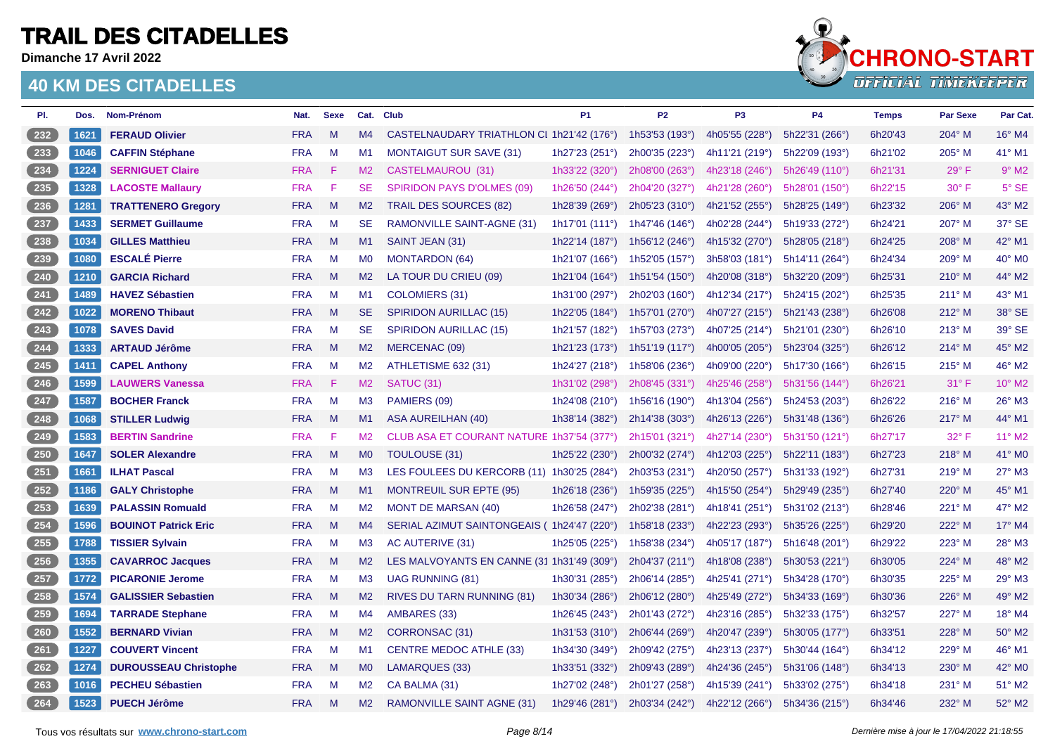**Dimanche 17 Avril 2022**



| PI. | Dos. | Nom-Prénom                   | Nat.       | <b>Sexe</b>  |                | Cat. Club                                  | <b>P1</b>               | <b>P2</b>                 | P <sub>3</sub>   | <b>P4</b>      | <b>Temps</b> | <b>Par Sexe</b> | Par Cat.            |
|-----|------|------------------------------|------------|--------------|----------------|--------------------------------------------|-------------------------|---------------------------|------------------|----------------|--------------|-----------------|---------------------|
| 232 | 1621 | <b>FERAUD Olivier</b>        | <b>FRA</b> | M            | M4             | CASTELNAUDARY TRIATHLON CI 1h21'42 (176°)  |                         | 1h53'53 (193°)            | 4h05'55 (228°)   | 5h22'31 (266°) | 6h20'43      | 204° M          | 16° M4              |
| 233 | 1046 | <b>CAFFIN Stéphane</b>       | <b>FRA</b> | M            | M1             | <b>MONTAIGUT SUR SAVE (31)</b>             | 1h27'23 (251°)          | 2h00'35 (223°)            | 4h11'21 (219°)   | 5h22'09 (193°) | 6h21'02      | $205^\circ$ M   | 41° M1              |
| 234 | 1224 | <b>SERNIGUET Claire</b>      | <b>FRA</b> | F            | M2             | CASTELMAUROU (31)                          | 1h33'22 (320°)          | 2h08'00 (263°)            | 4h23'18 $(246°)$ | 5h26'49 (110°) | 6h21'31      | $29^\circ$ F    | $9°$ M <sub>2</sub> |
| 235 | 1328 | <b>LACOSTE Mallaury</b>      | <b>FRA</b> | F            | <b>SE</b>      | <b>SPIRIDON PAYS D'OLMES (09)</b>          | 1h26'50 (244°)          | 2h04'20 (327°)            | 4h21'28 (260°)   | 5h28'01 (150°) | 6h22'15      | $30^\circ$ F    | 5° SE               |
| 236 | 1281 | <b>TRATTENERO Gregory</b>    | <b>FRA</b> | $\mathsf{M}$ | M <sub>2</sub> | <b>TRAIL DES SOURCES (82)</b>              | 1h28'39 (269°)          | 2h05'23 (310°)            | 4h21'52 (255°)   | 5h28'25 (149°) | 6h23'32      | 206° M          | 43° M2              |
| 237 | 1433 | <b>SERMET Guillaume</b>      | <b>FRA</b> | M            | <b>SE</b>      | RAMONVILLE SAINT-AGNE (31)                 | 1h17'01 $(111°)$        | 1h47'46 (146°)            | 4h02'28 (244°)   | 5h19'33 (272°) | 6h24'21      | $207^\circ$ M   | 37° SE              |
| 238 | 1034 | <b>GILLES Matthieu</b>       | <b>FRA</b> | M            | M1             | SAINT JEAN (31)                            | 1h22'14 (187°)          | 1h56'12 $(246°)$          | 4h15'32 (270°)   | 5h28'05 (218°) | 6h24'25      | $208^\circ$ M   | 42° M1              |
| 239 | 1080 | <b>ESCALÉ Pierre</b>         | <b>FRA</b> | M            | <b>MO</b>      | <b>MONTARDON (64)</b>                      | 1h21'07 (166°)          | 1h52'05 (157 $^{\circ}$ ) | 3h58'03(181°)    | 5h14'11 (264°) | 6h24'34      | 209° M          | 40° M0              |
| 240 | 1210 | <b>GARCIA Richard</b>        | <b>FRA</b> | $\mathsf{M}$ | M <sub>2</sub> | LA TOUR DU CRIEU (09)                      | 1h21'04 (164°)          | 1h51'54 (150°)            | 4h20'08 (318°)   | 5h32'20 (209°) | 6h25'31      | $210^{\circ}$ M | 44° M2              |
| 241 | 1489 | <b>HAVEZ Sébastien</b>       | <b>FRA</b> | M            | M1             | COLOMIERS (31)                             | 1h31'00 (297°)          | 2h02'03 (160°)            | 4h12'34 (217°)   | 5h24'15 (202°) | 6h25'35      | $211^\circ$ M   | 43° M1              |
| 242 | 1022 | <b>MORENO Thibaut</b>        | <b>FRA</b> | M            | <b>SE</b>      | <b>SPIRIDON AURILLAC (15)</b>              | 1h22'05 (184°)          | 1h57'01 (270°)            | 4h07'27 (215°)   | 5h21'43 (238°) | 6h26'08      | $212^{\circ}$ M | 38° SE              |
| 243 | 1078 | <b>SAVES David</b>           | <b>FRA</b> | M            | <b>SE</b>      | <b>SPIRIDON AURILLAC (15)</b>              | 1h21'57 (182°)          | 1h57'03 (273°)            | 4h07'25 (214°)   | 5h21'01 (230°) | 6h26'10      | $213^\circ$ M   | 39° SE              |
| 244 | 1333 | <b>ARTAUD Jérôme</b>         | <b>FRA</b> | $\mathsf{M}$ | M <sub>2</sub> | MERCENAC (09)                              | 1h21'23 (173°)          | 1h51'19 (117°)            | 4h00'05 (205°)   | 5h23'04 (325°) | 6h26'12      | $214^\circ$ M   | 45° M2              |
| 245 | 1411 | <b>CAPEL Anthony</b>         | <b>FRA</b> | M            | M <sub>2</sub> | ATHLETISME 632 (31)                        | 1h24'27 (218°)          | 1h58'06 (236°)            | 4h09'00 (220°)   | 5h17'30 (166°) | 6h26'15      | $215^\circ$ M   | 46° M2              |
| 246 | 1599 | <b>LAUWERS Vanessa</b>       | <b>FRA</b> | F            | M2             | SATUC (31)                                 | 1h31'02 (298°)          | 2h08'45 (331°)            | 4h25'46 (258°)   | 5h31'56 (144°) | 6h26'21      | $31°$ F         | 10° M2              |
| 247 | 1587 | <b>BOCHER Franck</b>         | <b>FRA</b> | M            | M <sub>3</sub> | PAMIERS (09)                               | 1h24'08 (210°)          | 1h56'16 (190°)            | 4h13'04 (256°)   | 5h24'53 (203°) | 6h26'22      | $216^\circ$ M   | 26° M3              |
| 248 | 1068 | <b>STILLER Ludwig</b>        | <b>FRA</b> | M            | M1             | <b>ASA AUREILHAN (40)</b>                  | 1h38'14 (382°)          | 2h14'38 (303°)            | 4h26'13 (226°)   | 5h31'48 (136°) | 6h26'26      | $217^\circ$ M   | 44° M1              |
| 249 | 1583 | <b>BERTIN Sandrine</b>       | <b>FRA</b> | -F           | M <sub>2</sub> | CLUB ASA ET COURANT NATURE 1h37'54 (377°)  |                         | 2h15'01(321°)             | 4h27'14 (230°)   | 5h31'50 (121°) | 6h27'17      | 32° F           | 11° M2              |
| 250 | 1647 | <b>SOLER Alexandre</b>       | <b>FRA</b> | $\mathsf{M}$ | M <sub>0</sub> | TOULOUSE (31)                              | 1h25'22 (230°)          | 2h00'32 (274°)            | 4h12'03 (225°)   | 5h22'11 (183°) | 6h27'23      | 218° M          | 41° MO              |
| 251 | 1661 | <b>ILHAT Pascal</b>          | <b>FRA</b> | M            | M <sub>3</sub> | LES FOULEES DU KERCORB (11) 1h30'25 (284°) |                         | 2h03'53 (231°)            | 4h20'50 (257°)   | 5h31'33 (192°) | 6h27'31      | 219° M          | 27° M3              |
| 252 | 1186 | <b>GALY Christophe</b>       | <b>FRA</b> | M            | M1             | <b>MONTREUIL SUR EPTE (95)</b>             | 1h26'18 (236°)          | 1h59'35 (225°)            | 4h15'50 (254°)   | 5h29'49 (235°) | 6h27'40      | $220^\circ$ M   | 45° M1              |
| 253 | 1639 | <b>PALASSIN Romuald</b>      | <b>FRA</b> | M            | M <sub>2</sub> | MONT DE MARSAN (40)                        | 1h26'58 (247°)          | 2h02'38 (281°)            | 4h18'41 (251°)   | 5h31'02 (213°) | 6h28'46      | 221° M          | 47° M2              |
| 254 | 1596 | <b>BOUINOT Patrick Eric</b>  | <b>FRA</b> | $\mathsf{M}$ | M4             | SERIAL AZIMUT SAINTONGEAIS (1h24'47 (220°) |                         | 1h58'18 (233°)            | 4h22'23 (293°)   | 5h35'26 (225°) | 6h29'20      | 222° M          | $17^\circ$ M4       |
| 255 | 1788 | <b>TISSIER Sylvain</b>       | <b>FRA</b> | M            | M <sub>3</sub> | AC AUTERIVE (31)                           | 1h25'05 (225°)          | 1h58'38 (234°)            | 4h05'17 (187°)   | 5h16'48 (201°) | 6h29'22      | $223^\circ$ M   | 28° M3              |
| 256 | 1355 | <b>CAVARROC Jacques</b>      | <b>FRA</b> | M            | M <sub>2</sub> | LES MALVOYANTS EN CANNE (31 1h31'49 (309°) |                         | 2h04'37 (211°)            | 4h18'08 (238°)   | 5h30'53 (221°) | 6h30'05      | $224^\circ$ M   | 48° M2              |
| 257 | 1772 | <b>PICARONIE Jerome</b>      | <b>FRA</b> | M            | M3             | <b>UAG RUNNING (81)</b>                    | 1h30'31 (285°)          | 2h06'14 (285°)            | 4h25'41 (271°)   | 5h34'28 (170°) | 6h30'35      | 225° M          | 29° M3              |
| 258 | 1574 | <b>GALISSIER Sebastien</b>   | <b>FRA</b> | M            | M <sub>2</sub> | RIVES DU TARN RUNNING (81)                 | 1h30'34 (286°)          | 2h06'12 (280°)            | 4h25'49 (272°)   | 5h34'33 (169°) | 6h30'36      | 226° M          | 49° M2              |
| 259 | 1694 | <b>TARRADE Stephane</b>      | <b>FRA</b> | M            | M4             | AMBARES (33)                               | 1h26'45 (243°)          | 2h01'43 (272°)            | 4h23'16 (285°)   | 5h32'33 (175°) | 6h32'57      | 227° M          | 18° M4              |
| 260 | 1552 | <b>BERNARD Vivian</b>        | <b>FRA</b> | M            | M2             | CORRONSAC (31)                             | 1h31'53 $(310^{\circ})$ | 2h06'44 (269°)            | 4h20'47 (239°)   | 5h30'05 (177°) | 6h33'51      | $228^\circ$ M   | 50° M2              |
| 261 | 1227 | <b>COUVERT Vincent</b>       | <b>FRA</b> | M            | M1             | <b>CENTRE MEDOC ATHLE (33)</b>             | 1h34'30 (349°)          | 2h09'42 (275°)            | 4h23'13 (237°)   | 5h30'44 (164°) | 6h34'12      | 229° M          | 46° M1              |
| 262 | 1274 | <b>DUROUSSEAU Christophe</b> | <b>FRA</b> | M            | M <sub>0</sub> | LAMARQUES (33)                             | 1h33'51 (332°)          | 2h09'43 (289°)            | 4h24'36 (245°)   | 5h31'06 (148°) | 6h34'13      | $230^\circ$ M   | 42° M0              |
| 263 | 1016 | <b>PECHEU Sébastien</b>      | <b>FRA</b> | M            | M <sub>2</sub> | CA BALMA (31)                              | 1h27'02 (248°)          | 2h01'27 (258°)            | 4h15'39 (241°)   | 5h33'02 (275°) | 6h34'18      | $231^\circ$ M   | 51° M2              |
| 264 | 1523 | <b>PUECH Jérôme</b>          | <b>FRA</b> | M            | M <sub>2</sub> | <b>RAMONVILLE SAINT AGNE (31)</b>          | 1h29'46 (281°)          | 2h03'34 (242°)            | 4h22'12 (266°)   | 5h34'36 (215°) | 6h34'46      | 232° M          | 52° M2              |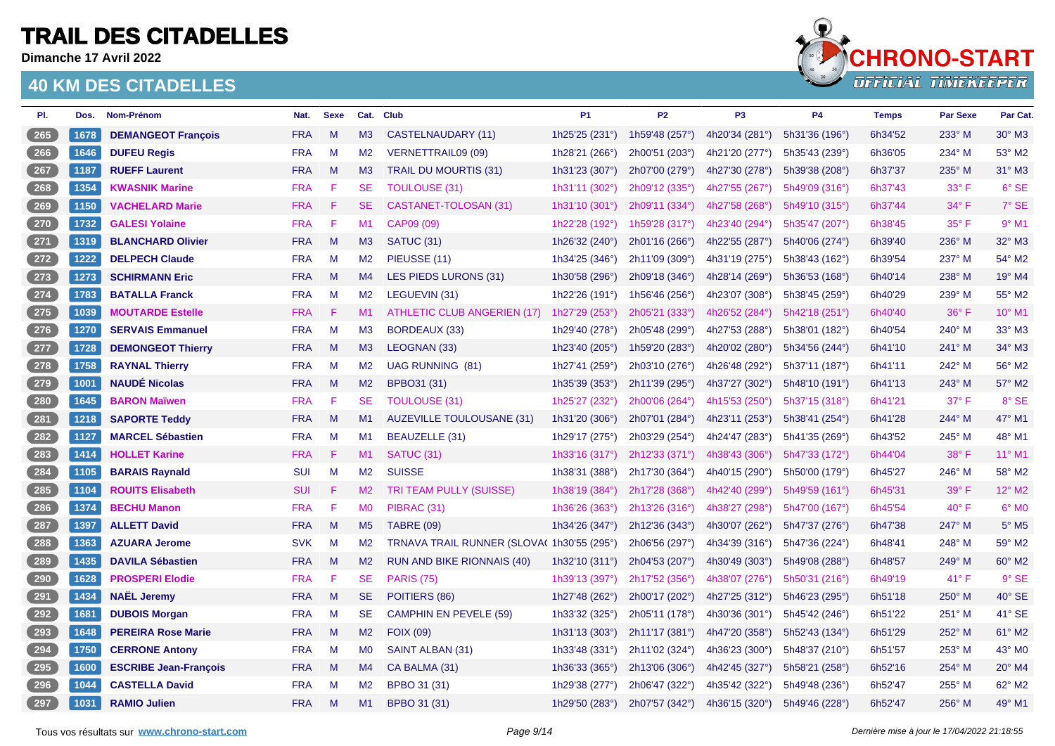**Dimanche 17 Avril 2022**



| PI.   | Dos. | Nom-Prénom                   | Nat.       | <b>Sexe</b> |                | Cat. Club                                  | P <sub>1</sub>          | P <sub>2</sub> | P <sub>3</sub> | <b>P4</b>      | <b>Temps</b> | <b>Par Sexe</b> | Par Cat.                 |
|-------|------|------------------------------|------------|-------------|----------------|--------------------------------------------|-------------------------|----------------|----------------|----------------|--------------|-----------------|--------------------------|
| 265   | 1678 | <b>DEMANGEOT François</b>    | <b>FRA</b> | M           | M3             | CASTELNAUDARY (11)                         | 1h25'25 (231°)          | 1h59'48 (257°) | 4h20'34 (281°) | 5h31'36 (196°) | 6h34'52      | 233° M          | 30° M3                   |
| 266   | 1646 | <b>DUFEU Regis</b>           | <b>FRA</b> | M           | M <sub>2</sub> | <b>VERNETTRAIL09 (09)</b>                  | 1h28'21 (266°)          | 2h00'51 (203°) | 4h21'20 (277°) | 5h35'43 (239°) | 6h36'05      | 234° M          | 53° M2                   |
| $267$ | 1187 | <b>RUEFF Laurent</b>         | <b>FRA</b> | M           | M <sub>3</sub> | <b>TRAIL DU MOURTIS (31)</b>               | 1h31'23 (307°)          | 2h07'00 (279°) | 4h27'30 (278°) | 5h39'38 (208°) | 6h37'37      | 235° M          | 31° M3                   |
| 268   | 1354 | <b>KWASNIK Marine</b>        | <b>FRA</b> | F           | <b>SE</b>      | <b>TOULOUSE (31)</b>                       | 1h31'11 (302°)          | 2h09'12 (335°) | 4h27'55 (267°) | 5h49'09 (316°) | 6h37'43      | $33^\circ$ F    | 6° SE                    |
| 269   | 1150 | <b>VACHELARD Marie</b>       | <b>FRA</b> | F           | <b>SE</b>      | CASTANET-TOLOSAN (31)                      | 1h31'10 (301°)          | 2h09'11 (334°) | 4h27'58 (268°) | 5h49'10 (315°) | 6h37'44      | $34^\circ$ F    | 7° SE                    |
| 270   | 1732 | <b>GALESI Yolaine</b>        | <b>FRA</b> | F           | M1             | CAP09 (09)                                 | 1h22'28 (192°)          | 1h59'28 (317°) | 4h23'40 (294°) | 5h35'47 (207°) | 6h38'45      | 35° F           | $9°$ M1                  |
| $271$ | 1319 | <b>BLANCHARD Olivier</b>     | <b>FRA</b> | M           | M3             | SATUC (31)                                 | 1h26'32 (240°)          | 2h01'16 (266°) | 4h22'55 (287°) | 5h40'06 (274°) | 6h39'40      | 236° M          | 32° M3                   |
| 272   | 1222 | <b>DELPECH Claude</b>        | <b>FRA</b> | M           | M <sub>2</sub> | PIEUSSE (11)                               | 1h34'25 (346°)          | 2h11'09 (309°) | 4h31'19 (275°) | 5h38'43 (162°) | 6h39'54      | 237° M          | 54° M2                   |
| $273$ | 1273 | <b>SCHIRMANN Eric</b>        | <b>FRA</b> | M           | M4             | LES PIEDS LURONS (31)                      | 1h30'58 (296°)          | 2h09'18 (346°) | 4h28'14 (269°) | 5h36'53 (168°) | 6h40'14      | 238° M          | 19° M4                   |
| $274$ | 1783 | <b>BATALLA Franck</b>        | <b>FRA</b> | M           | M <sub>2</sub> | LEGUEVIN (31)                              | 1h22'26 (191°)          | 1h56'46 (256°) | 4h23'07 (308°) | 5h38'45 (259°) | 6h40'29      | 239° M          | 55° M2                   |
| $275$ | 1039 | <b>MOUTARDE Estelle</b>      | <b>FRA</b> | F           | M1             | ATHLETIC CLUB ANGERIEN (17)                | 1h27'29 (253°)          | 2h05'21 (333°) | 4h26'52 (284°) | 5h42'18 (251°) | 6h40'40      | $36^\circ$ F    | 10° M1                   |
| 276   | 1270 | <b>SERVAIS Emmanuel</b>      | <b>FRA</b> | M           | M <sub>3</sub> | BORDEAUX (33)                              | 1h29'40 (278°)          | 2h05'48 (299°) | 4h27'53 (288°) | 5h38'01 (182°) | 6h40'54      | 240° M          | 33° M3                   |
| $277$ | 1728 | <b>DEMONGEOT Thierry</b>     | <b>FRA</b> | M           | M3             | LEOGNAN (33)                               | 1h23'40 (205°)          | 1h59'20 (283°) | 4h20'02 (280°) | 5h34'56 (244°) | 6h41'10      | 241° M          | 34° M3                   |
| 278   | 1758 | <b>RAYNAL Thierry</b>        | <b>FRA</b> | M           | M <sub>2</sub> | <b>UAG RUNNING (81)</b>                    | 1h27'41 (259°)          | 2h03'10 (276°) | 4h26'48 (292°) | 5h37'11 (187°) | 6h41'11      | 242° M          | 56° M2                   |
| 279   | 1001 | <b>NAUDÉ Nicolas</b>         | <b>FRA</b> | M           | M2             | <b>BPBO31 (31)</b>                         | 1h35'39 (353°)          | 2h11'39 (295°) | 4h37'27 (302°) | 5h48'10 (191°) | 6h41'13      | 243° M          | 57° M2                   |
| 280   | 1645 | <b>BARON Maïwen</b>          | <b>FRA</b> | F           | <b>SE</b>      | <b>TOULOUSE (31)</b>                       | 1h25'27 (232°)          | 2h00'06 (264°) | 4h15'53 (250°) | 5h37'15 (318°) | 6h41'21      | $37^\circ$ F    | 8° SE                    |
| 281   | 1218 | <b>SAPORTE Teddy</b>         | <b>FRA</b> | M           | M1             | <b>AUZEVILLE TOULOUSANE (31)</b>           | 1h31'20 (306°)          | 2h07'01 (284°) | 4h23'11 (253°) | 5h38'41 (254°) | 6h41'28      | 244° M          | 47° M1                   |
| 282   | 1127 | <b>MARCEL Sébastien</b>      | <b>FRA</b> | M           | M1             | BEAUZELLE (31)                             | 1h29'17 (275°)          | 2h03'29 (254°) | 4h24'47 (283°) | 5h41'35 (269°) | 6h43'52      | 245° M          | 48° M1                   |
| $283$ | 1414 | <b>HOLLET Karine</b>         | <b>FRA</b> | F           | M1             | SATUC (31)                                 | 1h33'16 (317°)          | 2h12'33 (371°) | 4h38'43 (306°) | 5h47'33 (172°) | 6h44'04      | 38° F           | 11° M1                   |
| 284   | 1105 | <b>BARAIS Raynald</b>        | <b>SUI</b> | M           | M2             | <b>SUISSE</b>                              | 1h38'31 (388°)          | 2h17'30 (364°) | 4h40'15 (290°) | 5h50'00 (179°) | 6h45'27      | 246° M          | 58° M2                   |
| $285$ | 1104 | <b>ROUITS Elisabeth</b>      | <b>SUI</b> | F           | M2             | TRI TEAM PULLY (SUISSE)                    | 1h38'19 (384°)          | 2h17'28 (368°) | 4h42'40 (299°) | 5h49'59 (161°) | 6h45'31      | 39° F           | 12° M2                   |
| 286   | 1374 | <b>BECHU Manon</b>           | <b>FRA</b> | F           | M <sub>0</sub> | PIBRAC (31)                                | 1h36'26 (363°)          | 2h13'26 (316°) | 4h38'27 (298°) | 5h47'00 (167°) | 6h45'54      | $40^{\circ}$ F  | $6^\circ$ MO             |
| 287   | 1397 | <b>ALLETT David</b>          | <b>FRA</b> | M           | M <sub>5</sub> | <b>TABRE (09)</b>                          | 1h34'26 (347°)          | 2h12'36 (343°) | 4h30'07 (262°) | 5h47'37 (276°) | 6h47'38      | 247° M          | $5^\circ$ M <sub>5</sub> |
| 288   | 1363 | <b>AZUARA Jerome</b>         | <b>SVK</b> | M           | M <sub>2</sub> | TRNAVA TRAIL RUNNER (SLOVA) 1h30'55 (295°) |                         | 2h06'56 (297°) | 4h34'39 (316°) | 5h47'36 (224°) | 6h48'41      | 248° M          | 59° M2                   |
| 289   | 1435 | <b>DAVILA Sébastien</b>      | <b>FRA</b> | M           | M2             | <b>RUN AND BIKE RIONNAIS (40)</b>          | 1h32'10 $(311°)$        | 2h04'53 (207°) | 4h30'49 (303°) | 5h49'08 (288°) | 6h48'57      | 249° M          | 60° M2                   |
| 290   | 1628 | <b>PROSPERI Elodie</b>       | <b>FRA</b> | F           | <b>SE</b>      | <b>PARIS (75)</b>                          | 1h39'13 (397°)          | 2h17'52 (356°) | 4h38'07 (276°) | 5h50'31 (216°) | 6h49'19      | $41^{\circ}$ F  | $9°$ SE                  |
| 291   | 1434 | <b>NAËL Jeremy</b>           | <b>FRA</b> | M           | <b>SE</b>      | POITIERS (86)                              | 1h27'48 (262°)          | 2h00'17 (202°) | 4h27'25 (312°) | 5h46'23 (295°) | 6h51'18      | 250° M          | 40° SE                   |
| 292   | 1681 | <b>DUBOIS Morgan</b>         | <b>FRA</b> | M           | <b>SE</b>      | <b>CAMPHIN EN PEVELE (59)</b>              | 1h33'32 (325°)          | 2h05'11 (178°) | 4h30'36 (301°) | 5h45'42 (246°) | 6h51'22      | 251° M          | 41° SE                   |
| $293$ | 1648 | <b>PEREIRA Rose Marie</b>    | <b>FRA</b> | M           | M2             | <b>FOIX (09)</b>                           | 1h31'13 $(303^{\circ})$ | 2h11'17 (381°) | 4h47'20 (358°) | 5h52'43 (134°) | 6h51'29      | 252° M          | 61° M2                   |
| 294   | 1750 | <b>CERRONE Antony</b>        | <b>FRA</b> | M           | M <sub>0</sub> | SAINT ALBAN (31)                           | 1h33'48 (331°)          | 2h11'02 (324°) | 4h36'23 (300°) | 5h48'37 (210°) | 6h51'57      | 253° M          | 43° MO                   |
| 295   | 1600 | <b>ESCRIBE Jean-François</b> | <b>FRA</b> | M           | M4             | CA BALMA (31)                              | 1h36'33 (365°)          | 2h13'06 (306°) | 4h42'45 (327°) | 5h58'21 (258°) | 6h52'16      | 254° M          | 20° M4                   |
| 296   | 1044 | <b>CASTELLA David</b>        | <b>FRA</b> | M           | M <sub>2</sub> | BPBO 31 (31)                               | 1h29'38 (277°)          | 2h06'47 (322°) | 4h35'42 (322°) | 5h49'48 (236°) | 6h52'47      | 255° M          | 62° M2                   |
| $297$ | 1031 | <b>RAMIO Julien</b>          | <b>FRA</b> | M           | M1             | BPBO 31 (31)                               | 1h29'50 (283°)          | 2h07'57 (342°) | 4h36'15 (320°) | 5h49'46 (228°) | 6h52'47      | 256° M          | 49° M1                   |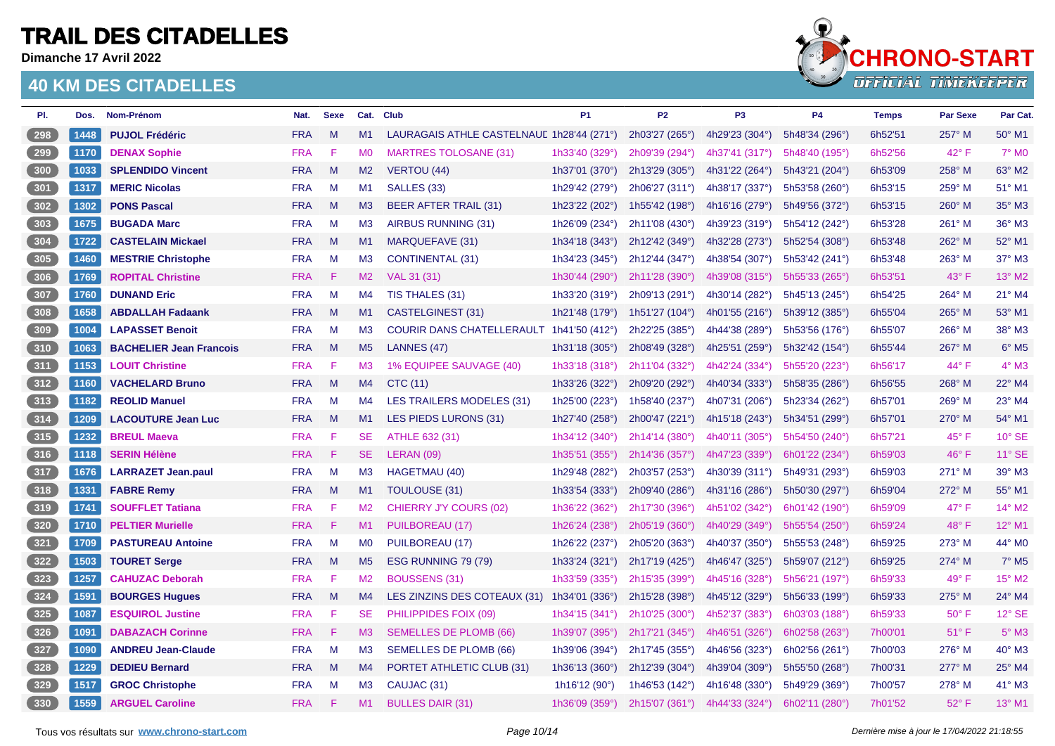**Dimanche 17 Avril 2022**

### **40 KM DES CITADELLES**



| PI.   | Dos. | Nom-Prénom                     | Nat.       | <b>Sexe</b> | Cat.           | <b>Club</b>                               | P <sub>1</sub>         | P <sub>2</sub>            | P <sub>3</sub> | <b>P4</b>      | <b>Temps</b> | Par Sexe       | Par Cat.                    |
|-------|------|--------------------------------|------------|-------------|----------------|-------------------------------------------|------------------------|---------------------------|----------------|----------------|--------------|----------------|-----------------------------|
| 298   | 1448 | <b>PUJOL Frédéric</b>          | <b>FRA</b> | M           | M1             | LAURAGAIS ATHLE CASTELNAUL 1h28'44 (271°) |                        | 2h03'27 (265°)            | 4h29'23 (304°) | 5h48'34 (296°) | 6h52'51      | 257° M         | 50° M1                      |
| 299   | 1170 | <b>DENAX Sophie</b>            | <b>FRA</b> | F           | M0             | <b>MARTRES TOLOSANE (31)</b>              | 1h33'40 (329°)         | 2h09'39 (294°)            | 4h37'41 (317°) | 5h48'40 (195°) | 6h52'56      | 42° F          | $7^\circ$ MO                |
| 300   | 1033 | <b>SPLENDIDO Vincent</b>       | <b>FRA</b> | M           | M2             | VERTOU (44)                               | 1h37'01 (370°)         | 2h13'29 (305°)            | 4h31'22 (264°) | 5h43'21 (204°) | 6h53'09      | 258° M         | 63° M2                      |
| 301   | 1317 | <b>MERIC Nicolas</b>           | <b>FRA</b> | M           | M1             | SALLES (33)                               | 1h29'42 (279°)         | 2h06'27 (311°)            | 4h38'17 (337°) | 5h53'58 (260°) | 6h53'15      | 259° M         | 51° M1                      |
| 302   | 1302 | <b>PONS Pascal</b>             | <b>FRA</b> | M           | M3             | <b>BEER AFTER TRAIL (31)</b>              | 1h23'22 (202°)         | 1h55'42 (198°)            | 4h16'16 (279°) | 5h49'56 (372°) | 6h53'15      | $260^\circ$ M  | 35° M3                      |
| 303   | 1675 | <b>BUGADA Marc</b>             | <b>FRA</b> | M           | M <sub>3</sub> | AIRBUS RUNNING (31)                       | 1h26'09 (234°)         | 2h11'08 (430°)            | 4h39'23 (319°) | 5h54'12 (242°) | 6h53'28      | 261° M         | 36° M3                      |
| 304   | 1722 | <b>CASTELAIN Mickael</b>       | <b>FRA</b> | M           | M1             | <b>MARQUEFAVE (31)</b>                    | 1h34'18 (343°)         | 2h12'42 (349°)            | 4h32'28 (273°) | 5h52'54 (308°) | 6h53'48      | 262° M         | 52° M1                      |
| 305   | 1460 | <b>MESTRIE Christophe</b>      | <b>FRA</b> | M           | M3             | <b>CONTINENTAL (31)</b>                   | 1h34'23 (345°)         | 2h12'44 (347°)            | 4h38'54 (307°) | 5h53'42 (241°) | 6h53'48      | 263° M         | 37° M3                      |
| 306   | 1769 | <b>ROPITAL Christine</b>       | <b>FRA</b> | F           | M2             | VAL 31 (31)                               | 1h30'44 (290°)         | 2h11'28 (390°)            | 4h39'08 (315°) | 5h55'33 (265°) | 6h53'51      | 43° F          | $13^{\circ}$ M <sub>2</sub> |
| 307   | 1760 | <b>DUNAND Eric</b>             | <b>FRA</b> | M           | M4             | TIS THALES (31)                           | 1h33'20 (319°)         | 2h09'13 (291°)            | 4h30'14 (282°) | 5h45'13 (245°) | 6h54'25      | 264° M         | 21° M4                      |
| 308   | 1658 | <b>ABDALLAH Fadaank</b>        | <b>FRA</b> | M           | M1             | CASTELGINEST (31)                         | 1h21'48 (179°)         | 1h51'27 (104 $^{\circ}$ ) | 4h01'55 (216°) | 5h39'12 (385°) | 6h55'04      | 265° M         | 53° M1                      |
| 309   | 1004 | <b>LAPASSET Benoit</b>         | <b>FRA</b> | M           | M <sub>3</sub> | COURIR DANS CHATELLERAULT 1h41'50 (412°)  |                        | 2h22'25 (385°)            | 4h44'38 (289°) | 5h53'56 (176°) | 6h55'07      | 266° M         | 38° M3                      |
| 310   | 1063 | <b>BACHELIER Jean Francois</b> | <b>FRA</b> | M           | M <sub>5</sub> | LANNES (47)                               | 1h31'18 $(305^\circ)$  | 2h08'49 (328°)            | 4h25'51 (259°) | 5h32'42 (154°) | 6h55'44      | 267° M         | $6^{\circ}$ M5              |
| 311   | 1153 | <b>LOUIT Christine</b>         | <b>FRA</b> | F           | M <sub>3</sub> | 1% EQUIPEE SAUVAGE (40)                   | 1h33'18 (318°)         | 2h11'04 (332°)            | 4h42'24 (334°) | 5h55'20 (223°) | 6h56'17      | 44° F          | $4^\circ$ M3                |
| 312   | 1160 | <b>VACHELARD Bruno</b>         | <b>FRA</b> | M           | M4             | CTC (11)                                  | 1h33'26 (322°)         | 2h09'20 (292°)            | 4h40'34 (333°) | 5h58'35 (286°) | 6h56'55      | 268° M         | 22° M4                      |
| $313$ | 1182 | <b>REOLID Manuel</b>           | <b>FRA</b> | M           | M4             | <b>LES TRAILERS MODELES (31)</b>          | 1h25'00 (223°)         | 1h58'40 (237°)            | 4h07'31 (206°) | 5h23'34 (262°) | 6h57'01      | 269° M         | 23° M4                      |
| 314   | 1209 | <b>LACOUTURE Jean Luc</b>      | <b>FRA</b> | M           | M1             | LES PIEDS LURONS (31)                     | 1h27'40 (258°)         | 2h00'47 (221°)            | 4h15'18 (243°) | 5h34'51 (299°) | 6h57'01      | 270° M         | 54° M1                      |
| 315   | 1232 | <b>BREUL Maeva</b>             | <b>FRA</b> | F           | <b>SE</b>      | ATHLE 632 (31)                            | 1h34'12 (340°)         | 2h14'14 (380°)            | 4h40'11 (305°) | 5h54'50 (240°) | 6h57'21      | $45^{\circ}$ F | $10^{\circ}$ SE             |
| 316   | 1118 | <b>SERIN Hélène</b>            | <b>FRA</b> | F           | SE.            | LERAN (09)                                | 1h35'51 (355°)         | 2h14'36 (357°)            | 4h47'23 (339°) | 6h01'22 (234°) | 6h59'03      | 46°F           | 11° SE                      |
| $317$ | 1676 | <b>LARRAZET Jean.paul</b>      | <b>FRA</b> | M           | M3             | HAGETMAU (40)                             | 1h29'48 (282°)         | 2h03'57 (253°)            | 4h30'39 (311°) | 5h49'31 (293°) | 6h59'03      | 271° M         | 39° M3                      |
| $318$ | 1331 | <b>FABRE Remy</b>              | <b>FRA</b> | M           | M1             | <b>TOULOUSE (31)</b>                      | 1h33'54 (333°)         | 2h09'40 (286°)            | 4h31'16 (286°) | 5h50'30 (297°) | 6h59'04      | 272° M         | 55° M1                      |
| $319$ | 1741 | <b>SOUFFLET Tatiana</b>        | <b>FRA</b> | F           | M <sub>2</sub> | CHIERRY J'Y COURS (02)                    | 1h36'22 (362°)         | 2h17'30 (396°)            | 4h51'02 (342°) | 6h01'42 (190°) | 6h59'09      | 47° F          | 14° M2                      |
| 320   | 1710 | <b>PELTIER Murielle</b>        | <b>FRA</b> | F           | M1             | PUILBOREAU (17)                           | 1h26'24 (238°)         | 2h05'19 (360°)            | 4h40'29 (349°) | 5h55'54 (250°) | 6h59'24      | 48°F           | 12° M1                      |
| 321   | 1709 | <b>PASTUREAU Antoine</b>       | <b>FRA</b> | M           | M <sub>0</sub> | PUILBOREAU (17)                           | 1h26'22 (237°)         | 2h05'20 (363°)            | 4h40'37 (350°) | 5h55'53 (248°) | 6h59'25      | 273° M         | 44° M0                      |
| 322   | 1503 | <b>TOURET Serge</b>            | <b>FRA</b> | M           | M <sub>5</sub> | ESG RUNNING 79 (79)                       | 1h33'24 (321°)         | 2h17'19 (425°)            | 4h46'47 (325°) | 5h59'07 (212°) | 6h59'25      | 274° M         | $7^\circ$ M <sub>5</sub>    |
| $323$ | 1257 | <b>CAHUZAC Deborah</b>         | <b>FRA</b> | F           | M2             | <b>BOUSSENS (31)</b>                      | 1h33'59 (335°)         | 2h15'35 (399°)            | 4h45'16 (328°) | 5h56'21 (197°) | 6h59'33      | 49° F          | 15° M2                      |
| $324$ | 1591 | <b>BOURGES Hugues</b>          | <b>FRA</b> | M           | M4             | LES ZINZINS DES COTEAUX (31)              | 1h34'01 (336°)         | 2h15'28 (398°)            | 4h45'12 (329°) | 5h56'33 (199°) | 6h59'33      | 275° M         | $24^\circ$ M4               |
| $325$ | 1087 | <b>ESQUIROL Justine</b>        | <b>FRA</b> | F           | SE             | PHILIPPIDES FOIX (09)                     | 1h34'15 (341°)         | 2h10'25 (300°)            | 4h52'37 (383°) | 6h03'03 (188°) | 6h59'33      | $50^\circ$ F   | 12° SE                      |
| 326   | 1091 | <b>DABAZACH Corinne</b>        | <b>FRA</b> | -F          | M3             | <b>SEMELLES DE PLOMB (66)</b>             | 1h39'07 (395°)         | 2h17'21 (345°)            | 4h46'51 (326°) | 6h02'58 (263°) | 7h00'01      | $51^{\circ}$ F | $5^\circ$ M3                |
| $327$ | 1090 | <b>ANDREU Jean-Claude</b>      | <b>FRA</b> | M           | M3             | SEMELLES DE PLOMB (66)                    | 1h39'06 (394°)         | 2h17'45 (355°)            | 4h46'56 (323°) | 6h02'56 (261°) | 7h00'03      | 276° M         | 40° M3                      |
| $328$ | 1229 | <b>DEDIEU Bernard</b>          | <b>FRA</b> | M           | M4             | PORTET ATHLETIC CLUB (31)                 | 1h36'13 (360°)         | 2h12'39 (304°)            | 4h39'04 (309°) | 5h55'50 (268°) | 7h00'31      | 277° M         | 25° M4                      |
| $329$ | 1517 | <b>GROC Christophe</b>         | <b>FRA</b> | M           | M <sub>3</sub> | CAUJAC (31)                               | 1h16'12 $(90^{\circ})$ | 1h46'53 (142°)            | 4h16'48 (330°) | 5h49'29 (369°) | 7h00'57      | 278° M         | 41° M3                      |
| 330   | 1559 | <b>ARGUEL Caroline</b>         | <b>FRA</b> | F           | M1             | <b>BULLES DAIR (31)</b>                   | 1h36'09 (359°)         | 2h15'07 (361°)            | 4h44'33 (324°) | 6h02'11 (280°) | 7h01'52      | 52° F          | $13^{\circ}$ M1             |

Tous vos résultats sur [www.chrono-start.com](https://www.chrono-start.com/) **Carrier entrare a participal de la participal de la participal de la participal de la participal de la participal de la participal de la participal de la participal de la partic**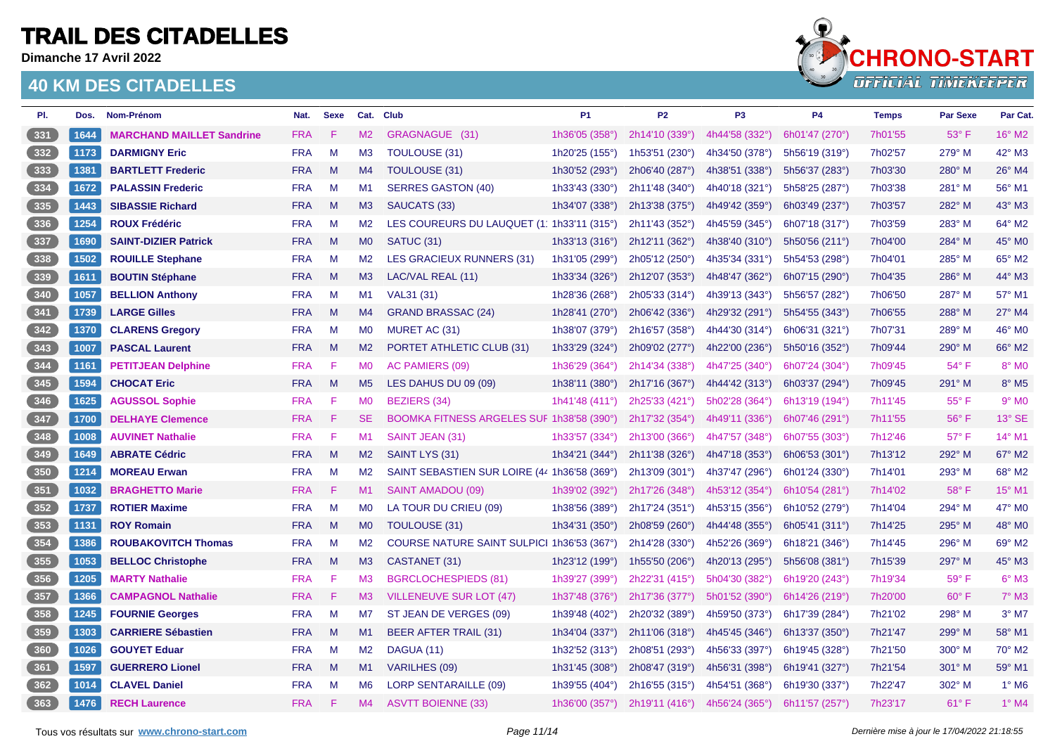**Dimanche 17 Avril 2022**



| PI.   | Dos. | Nom-Prénom                       | Nat.       | <b>Sexe</b> |                | Cat. Club                                    | P <sub>1</sub>          | <b>P2</b>                 | P <sub>3</sub> | <b>P4</b>      | <b>Temps</b> | <b>Par Sexe</b> | Par Cat.     |
|-------|------|----------------------------------|------------|-------------|----------------|----------------------------------------------|-------------------------|---------------------------|----------------|----------------|--------------|-----------------|--------------|
| 331   | 1644 | <b>MARCHAND MAILLET Sandrine</b> | <b>FRA</b> | F           | M2             | GRAGNAGUE (31)                               | 1h36'05 (358°)          | 2h14'10 (339°)            | 4h44'58 (332°) | 6h01'47 (270°) | 7h01'55      | $53^\circ$ F    | 16° M2       |
| 332   | 1173 | <b>DARMIGNY Eric</b>             | <b>FRA</b> | M           | M <sub>3</sub> | <b>TOULOUSE (31)</b>                         | 1h20'25 (155°)          | 1h53'51 (230 $^{\circ}$ ) | 4h34'50 (378°) | 5h56'19 (319°) | 7h02'57      | 279° M          | 42° M3       |
| 333   | 1381 | <b>BARTLETT Frederic</b>         | <b>FRA</b> | M           | M4             | <b>TOULOUSE (31)</b>                         | 1h30'52 (293°)          | 2h06'40 (287°)            | 4h38'51 (338°) | 5h56'37 (283°) | 7h03'30      | 280° M          | 26° M4       |
| 334   | 1672 | <b>PALASSIN Frederic</b>         | <b>FRA</b> | M           | M1             | <b>SERRES GASTON (40)</b>                    | 1h33'43 (330°)          | 2h11'48 (340°)            | 4h40'18 (321°) | 5h58'25 (287°) | 7h03'38      | 281° M          | 56° M1       |
| 335   | 1443 | <b>SIBASSIE Richard</b>          | <b>FRA</b> | M           | M3             | SAUCATS (33)                                 | 1h34'07 (338°)          | 2h13'38 (375°)            | 4h49'42 (359°) | 6h03'49 (237°) | 7h03'57      | 282° M          | 43° M3       |
| 336   | 1254 | <b>ROUX Frédéric</b>             | <b>FRA</b> | M           | M <sub>2</sub> | LES COUREURS DU LAUQUET (1: 1h33'11 (315°)   |                         | 2h11'43 (352°)            | 4h45'59 (345°) | 6h07'18 (317°) | 7h03'59      | 283° M          | 64° M2       |
| 337   | 1690 | <b>SAINT-DIZIER Patrick</b>      | <b>FRA</b> | M           | M <sub>0</sub> | SATUC (31)                                   | 1h33'13 (316°)          | 2h12'11 (362°)            | 4h38'40 (310°) | 5h50'56 (211°) | 7h04'00      | 284° M          | 45° M0       |
| 338   | 1502 | <b>ROUILLE Stephane</b>          | <b>FRA</b> | M           | M2             | LES GRACIEUX RUNNERS (31)                    | 1h31'05 (299°)          | 2h05'12 (250°)            | 4h35'34 (331°) | 5h54'53 (298°) | 7h04'01      | 285° M          | 65° M2       |
| 339   | 1611 | <b>BOUTIN Stéphane</b>           | <b>FRA</b> | M           | M <sub>3</sub> | LAC/VAL REAL (11)                            | 1h33'34 (326°)          | 2h12'07 (353°)            | 4h48'47 (362°) | 6h07'15 (290°) | 7h04'35      | 286° M          | 44° M3       |
| $340$ | 1057 | <b>BELLION Anthony</b>           | <b>FRA</b> | M           | M1             | VAL31 (31)                                   | 1h28'36 (268°)          | 2h05'33 (314°)            | 4h39'13 (343°) | 5h56'57 (282°) | 7h06'50      | 287° M          | 57° M1       |
| $341$ | 1739 | <b>LARGE Gilles</b>              | <b>FRA</b> | M           | M4             | <b>GRAND BRASSAC (24)</b>                    | 1h28'41 (270°)          | 2h06'42 (336°)            | 4h29'32 (291°) | 5h54'55 (343°) | 7h06'55      | 288° M          | 27° M4       |
| $342$ | 1370 | <b>CLARENS Gregory</b>           | <b>FRA</b> | M           | M0             | MURET AC (31)                                | 1h38'07 (379°)          | 2h16'57 (358°)            | 4h44'30 (314°) | 6h06'31 (321°) | 7h07'31      | 289° M          | 46° M0       |
| 343   | 1007 | <b>PASCAL Laurent</b>            | <b>FRA</b> | M           | M <sub>2</sub> | PORTET ATHLETIC CLUB (31)                    | 1h33'29 (324°)          | 2h09'02 (277°)            | 4h22'00 (236°) | 5h50'16 (352°) | 7h09'44      | 290° M          | 66° M2       |
| 344   | 1161 | <b>PETITJEAN Delphine</b>        | <b>FRA</b> | F           | <b>MO</b>      | AC PAMIERS (09)                              | 1h36'29 (364°)          | 2h14'34 (338°)            | 4h47'25 (340°) | 6h07'24 (304°) | 7h09'45      | 54° F           | 8° MO        |
| 345   | 1594 | <b>CHOCAT Eric</b>               | <b>FRA</b> | $M_{\odot}$ | M <sub>5</sub> | LES DAHUS DU 09 (09)                         | 1h38'11 (380°)          | 2h17'16 (367°)            | 4h44'42 (313°) | 6h03'37 (294°) | 7h09'45      | $291^\circ$ M   | 8° M5        |
| 346   | 1625 | <b>AGUSSOL Sophie</b>            | <b>FRA</b> | F           | <b>MO</b>      | <b>BEZIERS (34)</b>                          | 1h41'48 (411°)          | 2h25'33 (421°)            | 5h02'28 (364°) | 6h13'19 (194°) | 7h11'45      | $55^{\circ}$ F  | $9°$ MO      |
| 347   | 1700 | <b>DELHAYE Clemence</b>          | <b>FRA</b> | F           | <b>SE</b>      | BOOMKA FITNESS ARGELES SUF 1h38'58 (390°)    |                         | 2h17'32 (354°)            | 4h49'11 (336°) | 6h07'46 (291°) | 7h11'55      | $56^{\circ}$ F  | 13° SE       |
| 348   | 1008 | <b>AUVINET Nathalie</b>          | <b>FRA</b> | F           | M1             | SAINT JEAN (31)                              | 1h33'57 $(334^{\circ})$ | 2h13'00 (366°)            | 4h47'57 (348°) | 6h07'55 (303°) | 7h12'46      | 57° F           | 14° M1       |
| 349   | 1649 | <b>ABRATE Cédric</b>             | <b>FRA</b> | M           | M2             | SAINT LYS (31)                               | 1h34'21 (344°)          | 2h11'38 (326°)            | 4h47'18 (353°) | 6h06'53 (301°) | 7h13'12      | 292° M          | 67° M2       |
| 350   | 1214 | <b>MOREAU Erwan</b>              | <b>FRA</b> | M           | M <sub>2</sub> | SAINT SEBASTIEN SUR LOIRE (44 1h36'58 (369°) |                         | 2h13'09 (301°)            | 4h37'47 (296°) | 6h01'24 (330°) | 7h14'01      | 293° M          | 68° M2       |
| 351   | 1032 | <b>BRAGHETTO Marie</b>           | <b>FRA</b> | F           | M1             | SAINT AMADOU (09)                            | 1h39'02 (392°)          | 2h17'26 (348°)            | 4h53'12 (354°) | 6h10'54 (281°) | 7h14'02      | 58°F            | 15° M1       |
| 352   | 1737 | <b>ROTIER Maxime</b>             | <b>FRA</b> | M           | M <sub>0</sub> | LA TOUR DU CRIEU (09)                        | 1h38'56 (389°)          | 2h17'24 (351°)            | 4h53'15 (356°) | 6h10'52 (279°) | 7h14'04      | 294° M          | 47° M0       |
| 353   | 1131 | <b>ROY Romain</b>                | <b>FRA</b> | M           | MO             | TOULOUSE (31)                                | 1h34'31 (350°)          | 2h08'59 (260°)            | 4h44'48 (355°) | 6h05'41 (311°) | 7h14'25      | 295° M          | 48° M0       |
| 354   | 1386 | <b>ROUBAKOVITCH Thomas</b>       | <b>FRA</b> | M           | M2             | COURSE NATURE SAINT SULPICI 1h36'53 (367°)   |                         | 2h14'28 (330°)            | 4h52'26 (369°) | 6h18'21 (346°) | 7h14'45      | 296° M          | 69° M2       |
| $355$ | 1053 | <b>BELLOC Christophe</b>         | <b>FRA</b> | M           | M3             | CASTANET (31)                                | 1h23'12 (199°)          | 1h55'50 (206°)            | 4h20'13 (295°) | 5h56'08 (381°) | 7h15'39      | 297° M          | 45° M3       |
| 356   | 1205 | <b>MARTY Nathalie</b>            | <b>FRA</b> | F           | M3             | <b>BGRCLOCHESPIEDS (81)</b>                  | 1h39'27 (399°)          | 2h22'31 (415°)            | 5h04'30 (382°) | 6h19'20 (243°) | 7h19'34      | 59° F           | $6^\circ$ M3 |
| 357   | 1366 | <b>CAMPAGNOL Nathalie</b>        | <b>FRA</b> | F           | M3             | <b>VILLENEUVE SUR LOT (47)</b>               | 1h37'48 (376°)          | 2h17'36 (377°)            | 5h01'52 (390°) | 6h14'26 (219°) | 7h20'00      | $60^\circ$ F    | $7^\circ$ M3 |
| 358   | 1245 | <b>FOURNIE Georges</b>           | <b>FRA</b> | M           | M7             | ST JEAN DE VERGES (09)                       | 1h39'48 (402°)          | 2h20'32 (389°)            | 4h59'50 (373°) | 6h17'39 (284°) | 7h21'02      | 298° M          | $3°$ M7      |
| 359   | 1303 | <b>CARRIERE Sébastien</b>        | <b>FRA</b> | M           | M1             | <b>BEER AFTER TRAIL (31)</b>                 | 1h34'04 (337°)          | 2h11'06 (318°)            | 4h45'45 (346°) | 6h13'37 (350°) | 7h21'47      | 299° M          | 58° M1       |
| 360   | 1026 | <b>GOUYET Eduar</b>              | <b>FRA</b> | M           | M <sub>2</sub> | DAGUA (11)                                   | 1h32'52 (313°)          | 2h08'51 (293°)            | 4h56'33 (397°) | 6h19'45 (328°) | 7h21'50      | 300° M          | 70° M2       |
| 361   | 1597 | <b>GUERRERO Lionel</b>           | <b>FRA</b> | M           | M1             | <b>VARILHES (09)</b>                         | 1h31'45 (308°)          | 2h08'47 (319°)            | 4h56'31 (398°) | 6h19'41 (327°) | 7h21'54      | 301° M          | 59° M1       |
| 362   | 1014 | <b>CLAVEL Daniel</b>             | <b>FRA</b> | M           | M <sub>6</sub> | <b>LORP SENTARAILLE (09)</b>                 | 1h39'55 (404°)          | 2h16'55 (315°)            | 4h54'51 (368°) | 6h19'30 (337°) | 7h22'47      | 302° M          | $1^\circ$ M6 |
| 363   | 1476 | <b>RECH Laurence</b>             | <b>FRA</b> | F           | M4             | <b>ASVTT BOIENNE (33)</b>                    | 1h36'00 (357°)          | 2h19'11 (416°)            | 4h56'24 (365°) | 6h11'57 (257°) | 7h23'17      | $61^\circ$ F    | $1^\circ$ M4 |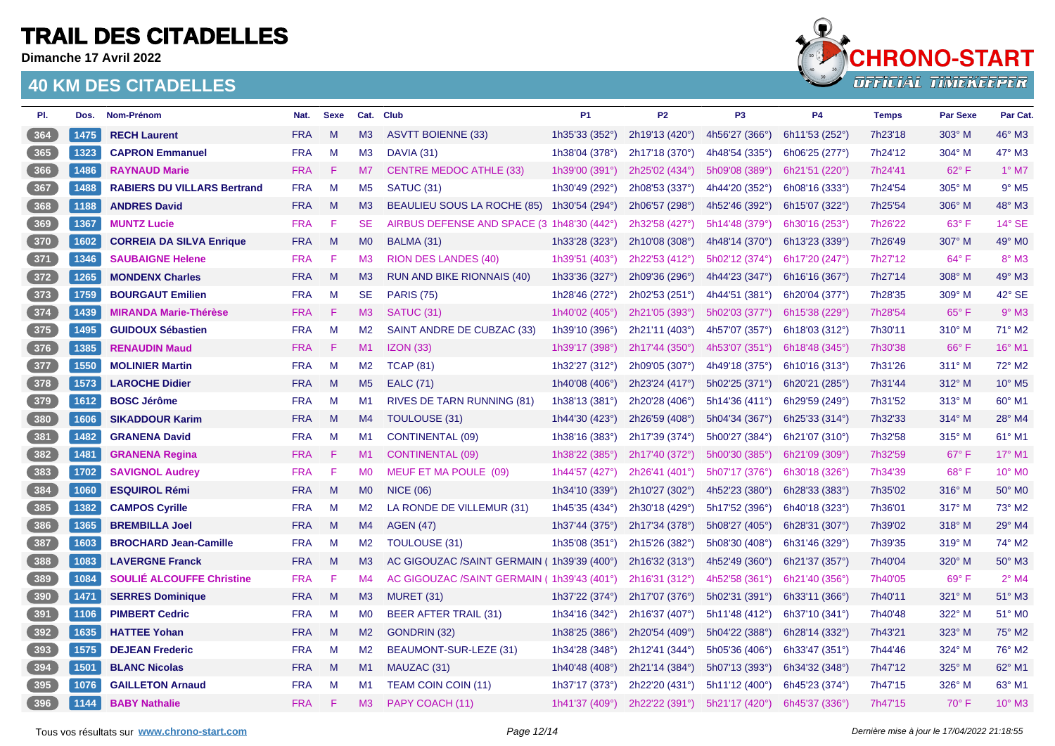**Dimanche 17 Avril 2022**



| PI.   | Dos. | Nom-Prénom                         | Nat.       | <b>Sexe</b> |                | Cat. Club                                  | <b>P1</b>      | P <sub>2</sub> | P <sub>3</sub> | P4                      | <b>Temps</b> | <b>Par Sexe</b> | Par Cat.            |
|-------|------|------------------------------------|------------|-------------|----------------|--------------------------------------------|----------------|----------------|----------------|-------------------------|--------------|-----------------|---------------------|
| 364   | 1475 | <b>RECH Laurent</b>                | <b>FRA</b> | M           | M3             | <b>ASVTT BOIENNE (33)</b>                  | 1h35'33 (352°) | 2h19'13 (420°) | 4h56'27 (366°) | 6h11'53 (252°)          | 7h23'18      | 303° M          | 46° M3              |
| 365   | 1323 | <b>CAPRON Emmanuel</b>             | <b>FRA</b> | M           | M3             | DAVIA (31)                                 | 1h38'04 (378°) | 2h17'18 (370°) | 4h48'54 (335°) | 6h06'25 (277°)          | 7h24'12      | 304° M          | 47° M3              |
| 366   | 1486 | <b>RAYNAUD Marie</b>               | <b>FRA</b> | -F          | M7             | <b>CENTRE MEDOC ATHLE (33)</b>             | 1h39'00 (391°) | 2h25'02 (434°) | 5h09'08 (389°) | 6h21'51 (220°)          | 7h24'41      | $62^{\circ}$ F  | $1^\circ$ M7        |
| $367$ | 1488 | <b>RABIERS DU VILLARS Bertrand</b> | <b>FRA</b> | M           | M <sub>5</sub> | SATUC <sub>(31)</sub>                      | 1h30'49 (292°) | 2h08'53 (337°) | 4h44'20 (352°) | 6h08'16 (333°)          | 7h24'54      | 305° M          | $9°$ M <sub>5</sub> |
| 368   | 1188 | <b>ANDRES David</b>                | <b>FRA</b> | M           | M3             | BEAULIEU SOUS LA ROCHE (85)                | 1h30'54 (294°) | 2h06'57 (298°) | 4h52'46 (392°) | 6h15'07 (322°)          | 7h25'54      | 306° M          | 48° M3              |
| 369   | 1367 | <b>MUNTZ Lucie</b>                 | <b>FRA</b> | F           | <b>SE</b>      | AIRBUS DEFENSE AND SPACE (3 1h48'30 (442°) |                | 2h32'58 (427°) | 5h14'48 (379°) | 6h30'16 (253°)          | 7h26'22      | $63^\circ$ F    | 14° SE              |
| 370   | 1602 | <b>CORREIA DA SILVA Enrique</b>    | <b>FRA</b> | M           | M <sub>0</sub> | BALMA (31)                                 | 1h33'28 (323°) | 2h10'08 (308°) | 4h48'14 (370°) | 6h13'23 (339°)          | 7h26'49      | 307° M          | 49° M <sub>0</sub>  |
| $371$ | 1346 | <b>SAUBAIGNE Helene</b>            | <b>FRA</b> | -F          | M3             | <b>RION DES LANDES (40)</b>                | 1h39'51 (403°) | 2h22'53 (412°) | 5h02'12 (374°) | 6h17'20 (247°)          | 7h27'12      | $64^{\circ}$ F  | $8^\circ$ M3        |
| 372   | 1265 | <b>MONDENX Charles</b>             | <b>FRA</b> | M           | M3             | <b>RUN AND BIKE RIONNAIS (40)</b>          | 1h33'36 (327°) | 2h09'36 (296°) | 4h44'23 (347°) | 6h16'16 (367°)          | 7h27'14      | 308° M          | 49° M3              |
| $373$ | 1759 | <b>BOURGAUT Emilien</b>            | <b>FRA</b> | M           | <b>SE</b>      | <b>PARIS (75)</b>                          | 1h28'46 (272°) | 2h02'53 (251°) | 4h44'51 (381°) | 6h20'04 (377°)          | 7h28'35      | 309° M          | 42° SE              |
| 374   | 1439 | <b>MIRANDA Marie-Thérèse</b>       | <b>FRA</b> | -F.         | M3             | SATUC (31)                                 | 1h40'02 (405°) | 2h21'05 (393°) | 5h02'03 (377°) | 6h15'38 (229°)          | 7h28'54      | $65^{\circ}$ F  | $9°$ M3             |
| $375$ | 1495 | <b>GUIDOUX Sébastien</b>           | <b>FRA</b> | M           | M2             | SAINT ANDRE DE CUBZAC (33)                 | 1h39'10 (396°) | 2h21'11 (403°) | 4h57'07 (357°) | 6h18'03 (312°)          | 7h30'11      | 310° M          | 71° M2              |
| 376   | 1385 | <b>RENAUDIN Maud</b>               | <b>FRA</b> | -F          | M1             | IZON(33)                                   | 1h39'17 (398°) | 2h17'44 (350°) | 4h53'07 (351°) | 6h18'48 $(345^{\circ})$ | 7h30'38      | $66^{\circ}$ F  | 16° M1              |
| 377   | 1550 | <b>MOLINIER Martin</b>             | <b>FRA</b> | M           | M2             | <b>TCAP (81)</b>                           | 1h32'27 (312°) | 2h09'05 (307°) | 4h49'18 (375°) | 6h10'16 (313°)          | 7h31'26      | 311° M          | 72° M2              |
| 378   | 1573 | <b>LAROCHE Didier</b>              | <b>FRA</b> | M           | M <sub>5</sub> | <b>EALC (71)</b>                           | 1h40'08 (406°) | 2h23'24 (417°) | 5h02'25 (371°) | 6h20'21 (285°)          | 7h31'44      | 312° M          | 10° M5              |
| $379$ | 1612 | <b>BOSC Jérôme</b>                 | <b>FRA</b> | M           | M1             | RIVES DE TARN RUNNING (81)                 | 1h38'13 (381°) | 2h20'28 (406°) | 5h14'36 (411°) | 6h29'59 (249°)          | 7h31'52      | 313° M          | 60° M1              |
| 380   | 1606 | <b>SIKADDOUR Karim</b>             | <b>FRA</b> | M           | M4             | TOULOUSE (31)                              | 1h44'30 (423°) | 2h26'59 (408°) | 5h04'34 (367°) | 6h25'33 (314°)          | 7h32'33      | $314^\circ$ M   | 28° M4              |
| $381$ | 1482 | <b>GRANENA David</b>               | <b>FRA</b> | M           | M1             | <b>CONTINENTAL (09)</b>                    | 1h38'16 (383°) | 2h17'39 (374°) | 5h00'27 (384°) | 6h21'07 (310°)          | 7h32'58      | $315^\circ$ M   | 61° M1              |
| 382   | 1481 | <b>GRANENA Regina</b>              | <b>FRA</b> | -F          | M1             | <b>CONTINENTAL (09)</b>                    | 1h38'22 (385°) | 2h17'40 (372°) | 5h00'30 (385°) | 6h21'09 (309°)          | 7h32'59      | $67^\circ$ F    | 17° M1              |
| $383$ | 1702 | <b>SAVIGNOL Audrey</b>             | <b>FRA</b> | F           | <b>MO</b>      | MEUF ET MA POULE (09)                      | 1h44'57 (427°) | 2h26'41 (401°) | 5h07'17 (376°) | 6h30'18 (326°)          | 7h34'39      | 68°F            | 10° M0              |
| $384$ | 1060 | <b>ESQUIROL Rémi</b>               | <b>FRA</b> | M           | M <sub>0</sub> | <b>NICE (06)</b>                           | 1h34'10 (339°) | 2h10'27 (302°) | 4h52'23 (380°) | 6h28'33 (383°)          | 7h35'02      | 316° M          | 50° M <sub>0</sub>  |
| $385$ | 1382 | <b>CAMPOS Cyrille</b>              | <b>FRA</b> | M           | M2             | LA RONDE DE VILLEMUR (31)                  | 1h45'35 (434°) | 2h30'18 (429°) | 5h17'52 (396°) | 6h40'18 (323°)          | 7h36'01      | $317^\circ$ M   | 73° M2              |
| 386   | 1365 | <b>BREMBILLA Joel</b>              | <b>FRA</b> | M           | M4             | <b>AGEN (47)</b>                           | 1h37'44 (375°) | 2h17'34 (378°) | 5h08'27 (405°) | 6h28'31 (307°)          | 7h39'02      | $318^\circ$ M   | 29° M4              |
| 387   | 1603 | <b>BROCHARD Jean-Camille</b>       | <b>FRA</b> | M           | M <sub>2</sub> | TOULOUSE (31)                              | 1h35'08 (351°) | 2h15'26 (382°) | 5h08'30 (408°) | 6h31'46 (329°)          | 7h39'35      | 319° M          | 74° M2              |
| $388$ | 1083 | <b>LAVERGNE Franck</b>             | <b>FRA</b> | M           | M3             | AC GIGOUZAC /SAINT GERMAIN (1h39'39 (400°) |                | 2h16'32 (313°) | 4h52'49 (360°) | 6h21'37 (357°)          | 7h40'04      | 320° M          | 50° M3              |
| $389$ | 1084 | <b>SOULIÉ ALCOUFFE Christine</b>   | <b>FRA</b> | F           | M4             | AC GIGOUZAC /SAINT GERMAIN (1h39'43 (401°) |                | 2h16'31 (312°) | 4h52'58 (361°) | 6h21'40 (356°)          | 7h40'05      | $69^\circ$ F    | $2^{\circ}$ M4      |
| 390   | 1471 | <b>SERRES Dominique</b>            | <b>FRA</b> | M           | M3             | MURET (31)                                 | 1h37'22 (374°) | 2h17'07 (376°) | 5h02'31 (391°) | 6h33'11 (366°)          | 7h40'11      | 321° M          | 51° M3              |
| $391$ | 1106 | <b>PIMBERT Cedric</b>              | <b>FRA</b> | M           | M <sub>0</sub> | BEER AFTER TRAIL (31)                      | 1h34'16 (342°) | 2h16'37 (407°) | 5h11'48 (412°) | 6h37'10 (341°)          | 7h40'48      | 322° M          | 51° M0              |
| 392   | 1635 | <b>HATTEE Yohan</b>                | <b>FRA</b> | M           | M2             | GONDRIN (32)                               | 1h38'25 (386°) | 2h20'54 (409°) | 5h04'22 (388°) | 6h28'14 (332°)          | 7h43'21      | 323° M          | 75° M2              |
| $393$ | 1575 | <b>DEJEAN Frederic</b>             | <b>FRA</b> | M           | M2             | BEAUMONT-SUR-LEZE (31)                     | 1h34'28 (348°) | 2h12'41 (344°) | 5h05'36 (406°) | 6h33'47 (351°)          | 7h44'46      | 324° M          | 76° M2              |
| $394$ | 1501 | <b>BLANC Nicolas</b>               | <b>FRA</b> | M           | M1             | MAUZAC (31)                                | 1h40'48 (408°) | 2h21'14 (384°) | 5h07'13 (393°) | 6h34'32 (348°)          | 7h47'12      | 325° M          | 62° M1              |
| $395$ | 1076 | <b>GAILLETON Arnaud</b>            | <b>FRA</b> | M           | M1             | <b>TEAM COIN COIN (11)</b>                 | 1h37'17 (373°) | 2h22'20 (431°) | 5h11'12 (400°) | 6h45'23 (374°)          | 7h47'15      | 326° M          | 63° M1              |
| 396   | 1144 | <b>BABY Nathalie</b>               | <b>FRA</b> | -F          | M3             | PAPY COACH (11)                            | 1h41'37 (409°) | 2h22'22 (391°) | 5h21'17 (420°) | 6h45'37 (336°)          | 7h47'15      | $70^\circ$ F    | 10° M3              |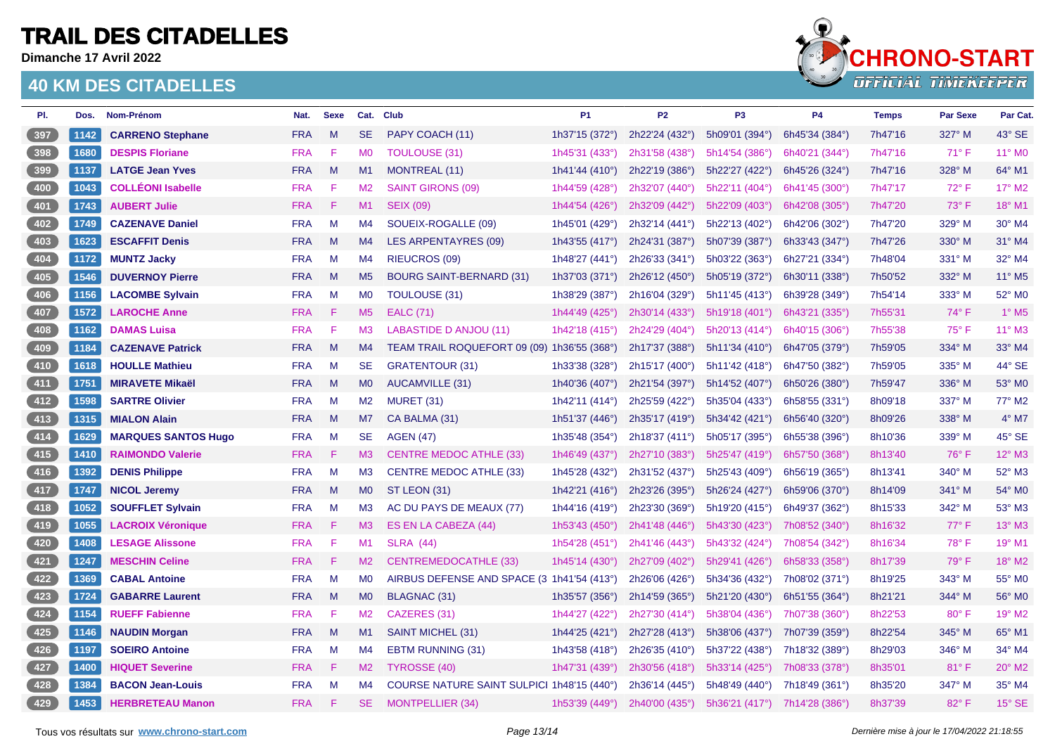**Dimanche 17 Avril 2022**



| PI.   | Dos. | Nom-Prénom                 | Nat.       | <b>Sexe</b> |                | Cat. Club                                   | P <sub>1</sub>          | P <sub>2</sub> | P <sub>3</sub>              | P4             | <b>Temps</b> | <b>Par Sexe</b> | Par Cat.                 |
|-------|------|----------------------------|------------|-------------|----------------|---------------------------------------------|-------------------------|----------------|-----------------------------|----------------|--------------|-----------------|--------------------------|
| 397   | 1142 | <b>CARRENO Stephane</b>    | <b>FRA</b> | M           | <b>SE</b>      | PAPY COACH (11)                             | 1h37'15 (372°)          | 2h22'24 (432°) | 5h09'01 (394°)              | 6h45'34 (384°) | 7h47'16      | 327° M          | 43° SE                   |
| 398   | 1680 | <b>DESPIS Floriane</b>     | <b>FRA</b> | F           | M <sub>0</sub> | <b>TOULOUSE (31)</b>                        | 1h45'31 (433°)          | 2h31'58 (438°) | 5h14'54 (386°)              | 6h40'21 (344°) | 7h47'16      | $71^\circ$ F    | 11° MO                   |
| 399   | 1137 | <b>LATGE Jean Yves</b>     | <b>FRA</b> | M           | M1             | <b>MONTREAL (11)</b>                        | 1h41'44 (410°)          | 2h22'19 (386°) | 5h22'27 (422°)              | 6h45'26 (324°) | 7h47'16      | 328° M          | 64° M1                   |
| 400   | 1043 | <b>COLLÉONI Isabelle</b>   | <b>FRA</b> | F           | M <sub>2</sub> | <b>SAINT GIRONS (09)</b>                    | 1h44'59 (428°)          | 2h32'07 (440°) | 5h22'11 (404°)              | 6h41'45 (300°) | 7h47'17      | $72^{\circ}$ F  | 17° M2                   |
| 401   | 1743 | <b>AUBERT Julie</b>        | <b>FRA</b> | F           | M1             | <b>SEIX (09)</b>                            | 1h44'54 (426°)          | 2h32'09 (442°) | 5h22'09 (403°)              | 6h42'08 (305°) | 7h47'20      | 73° F           | 18° M1                   |
| 402   | 1749 | <b>CAZENAVE Daniel</b>     | <b>FRA</b> | M           | M4             | SOUEIX-ROGALLE (09)                         | 1h45'01 (429°)          | 2h32'14 (441°) | 5h22'13 (402°)              | 6h42'06 (302°) | 7h47'20      | 329° M          | 30° M4                   |
| 403   | 1623 | <b>ESCAFFIT Denis</b>      | <b>FRA</b> | M           | M4             | <b>LES ARPENTAYRES (09)</b>                 | 1h43'55 (417°)          | 2h24'31 (387°) | 5h07'39 (387°)              | 6h33'43 (347°) | 7h47'26      | 330° M          | 31° M4                   |
| 404   | 1172 | <b>MUNTZ Jacky</b>         | <b>FRA</b> | M           | M4             | <b>RIEUCROS (09)</b>                        | 1h48'27 $(441°)$        | 2h26'33 (341°) | $5h03'22$ (363 $^{\circ}$ ) | 6h27'21 (334°) | 7h48'04      | 331° M          | 32° M4                   |
| 405   | 1546 | <b>DUVERNOY Pierre</b>     | <b>FRA</b> | M           | M <sub>5</sub> | <b>BOURG SAINT-BERNARD (31)</b>             | 1h37'03 (371°)          | 2h26'12 (450°) | 5h05'19 (372°)              | 6h30'11 (338°) | 7h50'52      | 332° M          | 11° M5                   |
| 406   | 1156 | <b>LACOMBE Sylvain</b>     | <b>FRA</b> | M           | <b>MO</b>      | <b>TOULOUSE (31)</b>                        | 1h38'29 (387°)          | 2h16'04 (329°) | 5h11'45 (413°)              | 6h39'28 (349°) | 7h54'14      | 333° M          | 52° M0                   |
| 407   | 1572 | <b>LAROCHE Anne</b>        | <b>FRA</b> | F           | M <sub>5</sub> | <b>EALC</b> (71)                            | 1h44'49 (425°)          | 2h30'14 (433°) | 5h19'18(401°)               | 6h43'21 (335°) | 7h55'31      | $74^\circ$ F    | $1^\circ$ M <sub>5</sub> |
| 408   | 1162 | <b>DAMAS Luisa</b>         | <b>FRA</b> | F           | M <sub>3</sub> | <b>LABASTIDE D ANJOU (11)</b>               | 1h42'18 (415°)          | 2h24'29 (404°) | 5h20'13 (414°)              | 6h40'15 (306°) | 7h55'38      | 75°F            | 11° M3                   |
| 409   | 1184 | <b>CAZENAVE Patrick</b>    | <b>FRA</b> | M           | M4             | TEAM TRAIL ROQUEFORT 09 (09) 1h36'55 (368°) |                         | 2h17'37 (388°) | 5h11'34(410°)               | 6h47'05 (379°) | 7h59'05      | 334° M          | 33° M4                   |
| 410   | 1618 | <b>HOULLE Mathieu</b>      | <b>FRA</b> | M           | <b>SE</b>      | <b>GRATENTOUR (31)</b>                      | 1h33'38 (328°)          | 2h15'17 (400°) | 5h11'42 (418°)              | 6h47'50 (382°) | 7h59'05      | 335° M          | 44° SE                   |
| 411   | 1751 | <b>MIRAVETE Mikaël</b>     | <b>FRA</b> | M           | M <sub>0</sub> | <b>AUCAMVILLE (31)</b>                      | 1h40'36 $(407°)$        | 2h21'54 (397°) | 5h14'52 (407°)              | 6h50'26 (380°) | 7h59'47      | 336° M          | 53° MO                   |
| 412   | 1598 | <b>SARTRE Olivier</b>      | <b>FRA</b> | M           | M2             | <b>MURET (31)</b>                           | 1h42'11 (414°)          | 2h25'59 (422°) | 5h35'04 (433°)              | 6h58'55 (331°) | 8h09'18      | 337° M          | 77° M2                   |
| 413   | 1315 | <b>MIALON Alain</b>        | <b>FRA</b> | M           | M7             | CA BALMA (31)                               | 1h51'37 (446°)          | 2h35'17 (419°) | 5h34'42(421°)               | 6h56'40 (320°) | 8h09'26      | 338° M          | $4^\circ$ M7             |
| 414   | 1629 | <b>MARQUES SANTOS Hugo</b> | <b>FRA</b> | M           | <b>SE</b>      | <b>AGEN (47)</b>                            | 1h35'48 (354°)          | 2h18'37 (411°) | 5h05'17 (395°)              | 6h55'38 (396°) | 8h10'36      | 339° M          | 45° SE                   |
| 415   | 1410 | <b>RAIMONDO Valerie</b>    | <b>FRA</b> | F           | M3             | <b>CENTRE MEDOC ATHLE (33)</b>              | 1h46'49 (437°)          | 2h27'10 (383°) | 5h25'47 (419°)              | 6h57'50 (368°) | 8h13'40      | 76°F            | 12° M3                   |
| $416$ | 1392 | <b>DENIS Philippe</b>      | <b>FRA</b> | M           | M3             | <b>CENTRE MEDOC ATHLE (33)</b>              | 1h45'28 (432°)          | 2h31'52 (437°) | 5h25'43 (409°)              | 6h56'19 (365°) | 8h13'41      | 340° M          | 52° M3                   |
| 417   | 1747 | <b>NICOL Jeremy</b>        | <b>FRA</b> | M           | M <sub>0</sub> | ST LEON (31)                                | 1h42'21 (416°)          | 2h23'26 (395°) | 5h26'24 (427°)              | 6h59'06 (370°) | 8h14'09      | 341° M          | 54° M0                   |
| 418   | 1052 | <b>SOUFFLET Sylvain</b>    | <b>FRA</b> | M           | M <sub>3</sub> | AC DU PAYS DE MEAUX (77)                    | 1h44'16 $(419°)$        | 2h23'30 (369°) | 5h19'20 (415°)              | 6h49'37 (362°) | 8h15'33      | 342° M          | 53° M3                   |
| 419   | 1055 | <b>LACROIX Véronique</b>   | <b>FRA</b> | F           | M3             | ES EN LA CABEZA (44)                        | 1h53'43 (450°)          | 2h41'48 (446°) | 5h43'30 (423°)              | 7h08'52 (340°) | 8h16'32      | 77°F            | 13° M3                   |
| 420   | 1408 | <b>LESAGE Alissone</b>     | <b>FRA</b> | F           | M1             | <b>SLRA (44)</b>                            | 1h54'28 (451°)          | 2h41'46 (443°) | 5h43'32 (424°)              | 7h08'54 (342°) | 8h16'34      | 78°F            | 19° M1                   |
| 421   | 1247 | <b>MESCHIN Celine</b>      | <b>FRA</b> | F           | M2             | <b>CENTREMEDOCATHLE (33)</b>                | 1h45'14 $(430^{\circ})$ | 2h27'09 (402°) | 5h29'41 (426°)              | 6h58'33 (358°) | 8h17'39      | 79° F           | 18° M2                   |
| 422   | 1369 | <b>CABAL Antoine</b>       | <b>FRA</b> | M           | <b>MO</b>      | AIRBUS DEFENSE AND SPACE (3 1h41'54 (413°)  |                         | 2h26'06 (426°) | 5h34'36 (432°)              | 7h08'02 (371°) | 8h19'25      | 343° M          | 55° M0                   |
| 423   | 1724 | <b>GABARRE Laurent</b>     | <b>FRA</b> | M           | M <sub>0</sub> | <b>BLAGNAC (31)</b>                         | 1h35'57 (356°)          | 2h14'59 (365°) | 5h21'20 (430°)              | 6h51'55 (364°) | 8h21'21      | 344° M          | 56° M0                   |
| 424   | 1154 | <b>RUEFF Fabienne</b>      | <b>FRA</b> | F           | M <sub>2</sub> | CAZERES (31)                                | 1h44'27 (422°)          | 2h27'30 (414°) | 5h38'04 (436°)              | 7h07'38 (360°) | 8h22'53      | $80^\circ$ F    | 19° M2                   |
| 425   | 1146 | <b>NAUDIN Morgan</b>       | <b>FRA</b> | M           | M1             | <b>SAINT MICHEL (31)</b>                    | 1h44'25 (421°)          | 2h27'28 (413°) | 5h38'06 (437°)              | 7h07'39 (359°) | 8h22'54      | 345° M          | 65° M1                   |
| 426   | 1197 | <b>SOEIRO Antoine</b>      | <b>FRA</b> | M           | M4             | <b>EBTM RUNNING (31)</b>                    | 1h43'58 (418°)          | 2h26'35 (410°) | 5h37'22 (438°)              | 7h18'32 (389°) | 8h29'03      | 346° M          | 34° M4                   |
| 427   | 1400 | <b>HIQUET Severine</b>     | <b>FRA</b> | -F          | M2             | TYROSSE (40)                                | 1h47'31 (439°)          | 2h30'56 (418°) | 5h33'14(425°)               | 7h08'33 (378°) | 8h35'01      | 81°F            | 20° M2                   |
| 428   | 1384 | <b>BACON Jean-Louis</b>    | <b>FRA</b> | M           | M4             | COURSE NATURE SAINT SULPICI 1h48'15 (440°)  |                         | 2h36'14 (445°) | 5h48'49 (440°)              | 7h18'49 (361°) | 8h35'20      | 347° M          | 35° M4                   |
| 429   | 1453 | <b>HERBRETEAU Manon</b>    | <b>FRA</b> | F           | <b>SE</b>      | <b>MONTPELLIER (34)</b>                     | 1h53'39 (449°)          | 2h40'00 (435°) | 5h36'21 (417°)              | 7h14'28 (386°) | 8h37'39      | 82°F            | 15° SE                   |